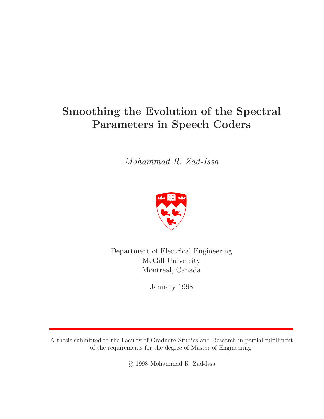# **Smoothing the Evolution of the Spectral Parameters in Speech Coders**

Mohammad R. Zad-Issa



Department of Electrical Engineering McGill University Montreal, Canada

January 1998

A thesis submitted to the Faculty of Graduate Studies and Research in partial fulfillment of the requirements for the degree of Master of Engineering.

c 1998 Mohammad R. Zad-Issa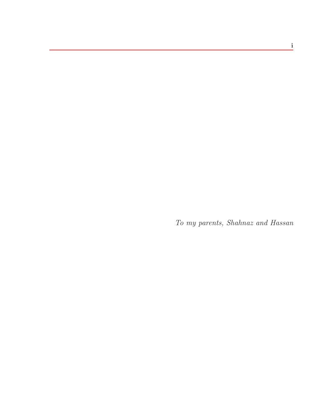To my parents, Shahnaz and Hassan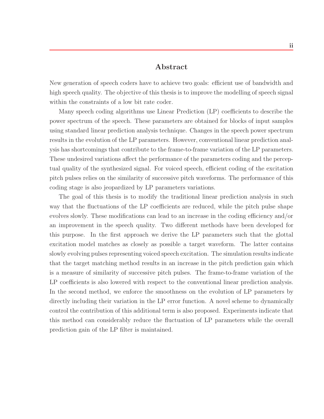## **Abstract**

New generation of speech coders have to achieve two goals: efficient use of bandwidth and high speech quality. The objective of this thesis is to improve the modelling of speech signal within the constraints of a low bit rate coder.

Many speech coding algorithms use Linear Prediction (LP) coefficients to describe the power spectrum of the speech. These parameters are obtained for blocks of input samples using standard linear prediction analysis technique. Changes in the speech power spectrum results in the evolution of the LP parameters. However, conventional linear prediction analysis has shortcomings that contribute to the frame-to-frame variation of the LP parameters. These undesired variations affect the performance of the parameters coding and the perceptual quality of the synthesized signal. For voiced speech, efficient coding of the excitation pitch pulses relies on the similarity of successive pitch waveforms. The performance of this coding stage is also jeopardized by LP parameters variations.

The goal of this thesis is to modify the traditional linear prediction analysis in such way that the fluctuations of the LP coefficients are reduced, while the pitch pulse shape evolves slowly. These modifications can lead to an increase in the coding efficiency and/or an improvement in the speech quality. Two different methods have been developed for this purpose. In the first approach we derive the LP parameters such that the glottal excitation model matches as closely as possible a target waveform. The latter contains slowly evolving pulses representing voiced speech excitation. The simulation results indicate that the target matching method results in an increase in the pitch prediction gain which is a measure of similarity of successive pitch pulses. The frame-to-frame variation of the LP coefficients is also lowered with respect to the conventional linear prediction analysis. In the second method, we enforce the smoothness on the evolution of LP parameters by directly including their variation in the LP error function. A novel scheme to dynamically control the contribution of this additional term is also proposed. Experiments indicate that this method can considerably reduce the fluctuation of LP parameters while the overall prediction gain of the LP filter is maintained.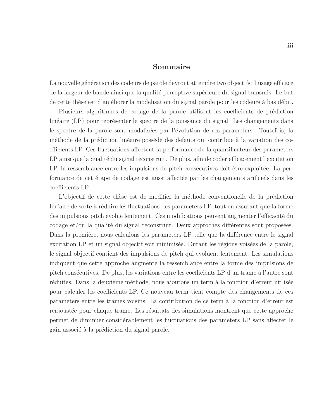## **Sommaire**

La nouvelle génération des codeurs de parole devront atteindre two objectifs: l'usage efficace de la largeur de bande ainsi que la qualité perceptive supérieure du signal transmis. Le but de cette thèse est d'améliorer la modelisation du signal parole pour les codeurs à bas débit.

Plusieurs algorithmes de codage de la parole utilisent les coefficients de prédiction linéaire (LP) pour représenter le spectre de la puissance du signal. Les changements dans le spectre de la parole sont modalisées par l'évolution de ces parameters. Toutefois, la méthode de la prédiction linéaire possède des defauts qui contribue à la variation des coefficients LP. Ces fluctuations affectent la performance de la quantificateur des parameters LP ainsi que la qualité du signal reconstruit. De plus, afin de coder efficacement l'excitation LP, la ressemblance entre les impulsions de pitch consécutives doit être exploitée. La performance de cet étape de codage est aussi affectée par les changements arificiels dans les coefficients LP.

L'objectif de cette thèse est de modifier la méthode conventionelle de la prédiction linéaire de sorte à réduire les fluctuations des parameters LP, tout en assurant que la forme des impulsions pitch evolue lentement. Ces modifications peuvent augmenter l'efficacité du  $\alpha$ codage et/ou la qualité du signal reconstruit. Deux approches différentes sont proposées. Dans la première, nous calculons les parameters LP telle que la différence entre le signal excitation LP et un signal objectif soit minimisée. Durant les régions voisées de la parole, le signal objectif contient des impulsions de pitch qui evoluent lentement. Les simulations indiquent que cette approche augmente la ressemblance entre la forme des impulsions de pitch consécutives. De plus, les variations entre les coefficients LP d'un trame à l'autre sont réduites. Dans la deuxième méthode, nous ajoutons un term à la fonction d'erreur utilisée pour calculer les coefficients LP. Ce nouveau term tient compte des changements de ces parameters entre les trames voisins. La contribution de ce term à la fonction d'erreur est reajoustée pour chaque trame. Les résultats des simulations montrent que cette approche permet de diminuer consid´erablement les fluctuations des parameters LP sans affecter le gain associé à la prédiction du signal parole.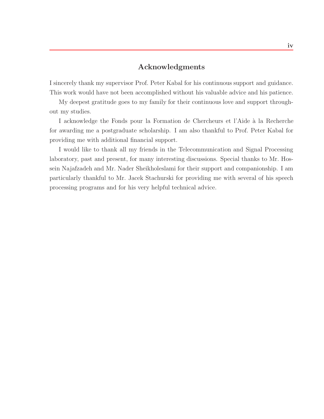# **Acknowledgments**

I sincerely thank my supervisor Prof. Peter Kabal for his continuous support and guidance. This work would have not been accomplished without his valuable advice and his patience.

My deepest gratitude goes to my family for their continuous love and support throughout my studies.

I acknowledge the Fonds pour la Formation de Chercheurs et l'Aide à la Recherche for awarding me a postgraduate scholarship. I am also thankful to Prof. Peter Kabal for providing me with additional financial support.

I would like to thank all my friends in the Telecommunication and Signal Processing laboratory, past and present, for many interesting discussions. Special thanks to Mr. Hossein Najafzadeh and Mr. Nader Sheikholeslami for their support and companionship. I am particularly thankful to Mr. Jacek Stachurski for providing me with several of his speech processing programs and for his very helpful technical advice.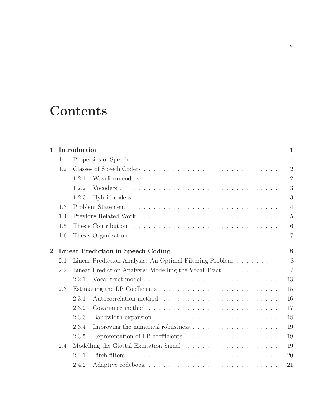# **Contents**

| Introduction<br>$\mathbf{1}$ |     |                                                                                             |                |  |
|------------------------------|-----|---------------------------------------------------------------------------------------------|----------------|--|
|                              | 1.1 |                                                                                             | $\mathbf{1}$   |  |
| 1.2                          |     |                                                                                             |                |  |
|                              |     | 1.2.1                                                                                       | $\overline{2}$ |  |
|                              |     | Vocoders<br>1.2.2                                                                           | 3              |  |
|                              |     | 1.2.3                                                                                       | 3              |  |
|                              | 1.3 |                                                                                             | $\overline{4}$ |  |
|                              | 1.4 |                                                                                             | $\overline{5}$ |  |
|                              | 1.5 |                                                                                             | 6              |  |
|                              | 1.6 |                                                                                             | $\overline{7}$ |  |
| $\overline{2}$               |     | Linear Prediction in Speech Coding                                                          |                |  |
|                              | 2.1 | Linear Prediction Analysis: An Optimal Filtering Problem                                    | 8              |  |
|                              | 2.2 | Linear Prediction Analysis: Modelling the Vocal Tract                                       | 12             |  |
|                              |     | 2.2.1                                                                                       | 13             |  |
|                              | 2.3 |                                                                                             | 15             |  |
|                              |     | 2.3.1                                                                                       | 16             |  |
|                              |     | Covariance method $\ldots \ldots \ldots \ldots \ldots \ldots \ldots \ldots \ldots$<br>2.3.2 | 17             |  |
|                              |     | 2.3.3                                                                                       | 18             |  |
|                              |     | 2.3.4                                                                                       | 19             |  |
|                              |     | 2.3.5                                                                                       | 19             |  |
|                              | 2.4 |                                                                                             | 19             |  |
|                              |     | 2.4.1                                                                                       | 20             |  |
|                              |     | 2.4.2                                                                                       | 21             |  |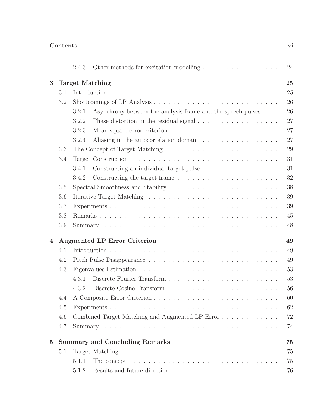|                |                                           | 2.4.3                  |                                                                                             |  |  |  |  |  |
|----------------|-------------------------------------------|------------------------|---------------------------------------------------------------------------------------------|--|--|--|--|--|
| 3              |                                           | <b>Target Matching</b> |                                                                                             |  |  |  |  |  |
|                | 3.1                                       |                        |                                                                                             |  |  |  |  |  |
|                | 3.2                                       |                        |                                                                                             |  |  |  |  |  |
|                |                                           | 3.2.1                  | Asynchrony between the analysis frame and the speech pulses                                 |  |  |  |  |  |
|                |                                           | 3.2.2                  | Phase distortion in the residual signal $\ldots \ldots \ldots \ldots \ldots \ldots$         |  |  |  |  |  |
|                |                                           | 3.2.3                  |                                                                                             |  |  |  |  |  |
|                |                                           | 3.2.4                  | Aliasing in the autocorrelation domain                                                      |  |  |  |  |  |
|                | 3.3                                       |                        |                                                                                             |  |  |  |  |  |
|                | 3.4                                       |                        |                                                                                             |  |  |  |  |  |
|                |                                           | 3.4.1                  | Constructing an individual target pulse                                                     |  |  |  |  |  |
|                |                                           | 3.4.2                  |                                                                                             |  |  |  |  |  |
|                | 3.5                                       |                        | Spectral Smoothness and Stability                                                           |  |  |  |  |  |
|                | 3.6                                       |                        |                                                                                             |  |  |  |  |  |
|                | 3.7                                       |                        |                                                                                             |  |  |  |  |  |
|                | 3.8                                       |                        |                                                                                             |  |  |  |  |  |
|                | 3.9                                       |                        |                                                                                             |  |  |  |  |  |
| $\overline{4}$ | <b>Augmented LP Error Criterion</b><br>49 |                        |                                                                                             |  |  |  |  |  |
|                | 4.1                                       |                        |                                                                                             |  |  |  |  |  |
|                | 4.2                                       |                        |                                                                                             |  |  |  |  |  |
|                | 4.3                                       |                        |                                                                                             |  |  |  |  |  |
|                |                                           | 4.3.1                  | Discrete Fourier Transform                                                                  |  |  |  |  |  |
|                |                                           | 4.3.2                  |                                                                                             |  |  |  |  |  |
|                | 4.4                                       |                        | A Composite Error Criterion                                                                 |  |  |  |  |  |
|                | 4.5                                       |                        |                                                                                             |  |  |  |  |  |
|                | 4.6                                       |                        | Combined Target Matching and Augmented LP Error                                             |  |  |  |  |  |
|                | 4.7                                       |                        |                                                                                             |  |  |  |  |  |
| $\overline{5}$ |                                           |                        | <b>Summary and Concluding Remarks</b>                                                       |  |  |  |  |  |
|                | 5.1                                       |                        |                                                                                             |  |  |  |  |  |
|                |                                           | 5.1.1                  | The concept $\dots \dots \dots \dots \dots \dots \dots \dots \dots \dots \dots \dots \dots$ |  |  |  |  |  |
|                |                                           | 5.1.2                  | Results and future direction $\ldots \ldots \ldots \ldots \ldots \ldots \ldots \ldots$      |  |  |  |  |  |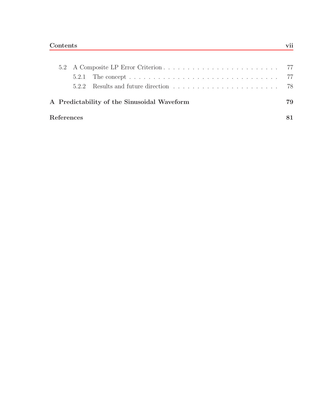|                                                   |            | 5.2.1 The concept $\ldots \ldots \ldots \ldots \ldots \ldots \ldots \ldots \ldots \ldots \ldots \ldots \ldots$ 77 |  |
|---------------------------------------------------|------------|-------------------------------------------------------------------------------------------------------------------|--|
|                                                   |            |                                                                                                                   |  |
| A Predictability of the Sinusoidal Waveform<br>79 |            |                                                                                                                   |  |
|                                                   | References |                                                                                                                   |  |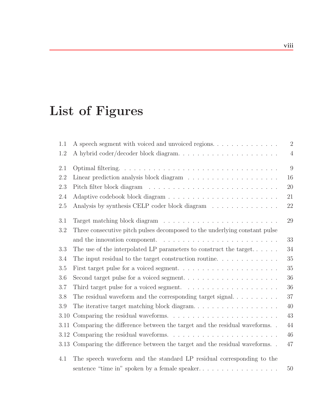# **List of Figures**

| 1.1  |                                                                                                   | $\overline{2}$ |
|------|---------------------------------------------------------------------------------------------------|----------------|
| 1.2  |                                                                                                   | $\overline{4}$ |
| 2.1  |                                                                                                   | 9              |
| 2.2  | 16                                                                                                |                |
| 2.3  | 20                                                                                                |                |
| 2.4  | 21                                                                                                |                |
| 2.5  | Analysis by synthesis CELP coder block diagram<br>22                                              |                |
| 3.1  | 29                                                                                                |                |
| 3.2  | Three consecutive pitch pulses decomposed to the underlying constant pulse                        |                |
|      | 33                                                                                                |                |
| 3.3  | 34<br>The use of the interpolated LP parameters to construct the target                           |                |
| 3.4  | 35<br>The input residual to the target construction routine. $\dots \dots \dots \dots$            |                |
| 3.5  | 35                                                                                                |                |
| 3.6  | 36                                                                                                |                |
| 3.7  | 36<br>Third target pulse for a voiced segment. $\ldots \ldots \ldots \ldots \ldots \ldots \ldots$ |                |
| 3.8  | 37                                                                                                |                |
| 3.9  | The iterative target matching block diagram<br>40                                                 |                |
| 3.10 | 43                                                                                                |                |
| 3.11 | Comparing the difference between the target and the residual waveforms<br>44                      |                |
| 3.12 | 46                                                                                                |                |
|      | 47<br>3.13 Comparing the difference between the target and the residual waveforms                 |                |
| 4.1  | The speech waveform and the standard LP residual corresponding to the                             |                |
|      | sentence "time in" spoken by a female speaker<br>50                                               |                |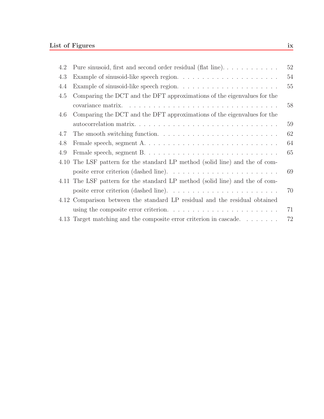| 4.2 | Pure sinusoid, first and second order residual (flat line)                              | 52 |
|-----|-----------------------------------------------------------------------------------------|----|
| 4.3 |                                                                                         | 54 |
| 4.4 |                                                                                         | 55 |
| 4.5 | Comparing the DCT and the DFT approximations of the eigenvalues for the                 |    |
|     |                                                                                         | 58 |
| 4.6 | Comparing the DCT and the DFT approximations of the eigenvalues for the                 |    |
|     |                                                                                         | 59 |
| 4.7 |                                                                                         | 62 |
| 4.8 | Female speech, segment A                                                                | 64 |
| 4.9 |                                                                                         | 65 |
|     | 4.10 The LSF pattern for the standard LP method (solid line) and the of com-            |    |
|     |                                                                                         | 69 |
|     | 4.11 The LSF pattern for the standard LP method (solid line) and the of com-            |    |
|     |                                                                                         | 70 |
|     | 4.12 Comparison between the standard LP residual and the residual obtained              |    |
|     | using the composite error criterion. $\ldots \ldots \ldots \ldots \ldots \ldots \ldots$ | 71 |
|     | 4.13 Target matching and the composite error criterion in cascade                       | 72 |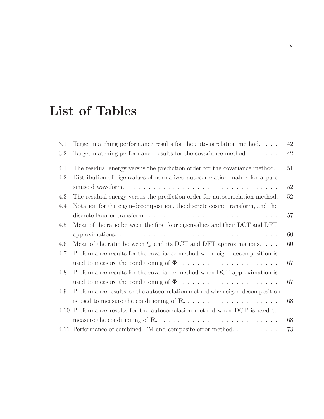# **List of Tables**

| 3.1 | Target matching performance results for the autocorrelation method           | 42 |
|-----|------------------------------------------------------------------------------|----|
| 3.2 | Target matching performance results for the covariance method. $\dots \dots$ | 42 |
| 4.1 | The residual energy versus the prediction order for the covariance method.   | 51 |
| 4.2 | Distribution of eigenvalues of normalized autocorrelation matrix for a pure  |    |
|     |                                                                              | 52 |
| 4.3 | The residual energy versus the prediction order for autocorrelation method.  | 52 |
| 4.4 | Notation for the eigen-decomposition, the discrete cosine transform, and the |    |
|     | discrete Fourier transform                                                   | 57 |
| 4.5 | Mean of the ratio between the first four eigenvalues and their DCT and DFT   |    |
|     |                                                                              | 60 |
| 4.6 | Mean of the ratio between $\xi_k$ and its DCT and DFT approximations.        | 60 |
| 4.7 | Preformance results for the covariance method when eigen-decomposition is    |    |
|     |                                                                              | 67 |
| 4.8 | Preformance results for the covariance method when DCT approximation is      |    |
|     |                                                                              | 67 |
| 4.9 | Preformance results for the autocorrelation method when eigen-decomposition  |    |
|     |                                                                              | 68 |
|     | 4.10 Preformance results for the autocorrelation method when DCT is used to  |    |
|     |                                                                              | 68 |
|     | 4.11 Performance of combined TM and composite error method                   | 73 |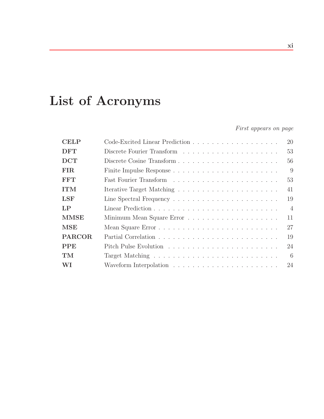# **List of Acronyms**

First appears on page

| <b>CELP</b> | 20             |
|-------------|----------------|
| <b>DFT</b>  | 53             |
| <b>DCT</b>  | 56             |
| <b>FIR</b>  | 9              |
| <b>FFT</b>  | 53             |
| <b>ITM</b>  | 41             |
| <b>LSF</b>  | 19             |
| LP          | $\overline{4}$ |
| <b>MMSE</b> | 11             |
| MSE         | 27             |
| PARCOR      | 19             |
| <b>PPE</b>  | 24             |
| TM          | - 6            |
| WI          | 24             |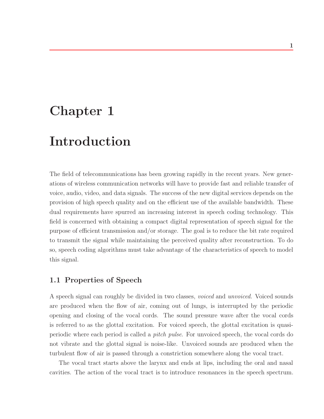# **Chapter 1**

# **Introduction**

The field of telecommunications has been growing rapidly in the recent years. New generations of wireless communication networks will have to provide fast and reliable transfer of voice, audio, video, and data signals. The success of the new digital services depends on the provision of high speech quality and on the efficient use of the available bandwidth. These dual requirements have spurred an increasing interest in speech coding technology. This field is concerned with obtaining a compact digital representation of speech signal for the purpose of efficient transmission and/or storage. The goal is to reduce the bit rate required to transmit the signal while maintaining the perceived quality after reconstruction. To do so, speech coding algorithms must take advantage of the characteristics of speech to model this signal.

### **1.1 Properties of Speech**

A speech signal can roughly be divided in two classes, voiced and unvoiced. Voiced sounds are produced when the flow of air, coming out of lungs, is interrupted by the periodic opening and closing of the vocal cords. The sound pressure wave after the vocal cords is referred to as the glottal excitation. For voiced speech, the glottal excitation is quasiperiodic where each period is called a pitch pulse. For unvoiced speech, the vocal cords do not vibrate and the glottal signal is noise-like. Unvoiced sounds are produced when the turbulent flow of air is passed through a constriction somewhere along the vocal tract.

The vocal tract starts above the larynx and ends at lips, including the oral and nasal cavities. The action of the vocal tract is to introduce resonances in the speech spectrum.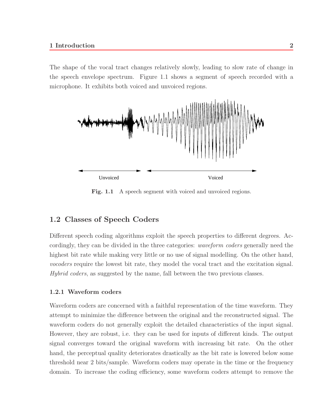The shape of the vocal tract changes relatively slowly, leading to slow rate of change in the speech envelope spectrum. Figure 1.1 shows a segment of speech recorded with a microphone. It exhibits both voiced and unvoiced regions.



Fig. 1.1 A speech segment with voiced and unvoiced regions.

# **1.2 Classes of Speech Coders**

Different speech coding algorithms exploit the speech properties to different degrees. Accordingly, they can be divided in the three categories: *waveform coders* generally need the highest bit rate while making very little or no use of signal modelling. On the other hand, vocoders require the lowest bit rate, they model the vocal tract and the excitation signal. Hybrid coders, as suggested by the name, fall between the two previous classes.

#### **1.2.1 Waveform coders**

Waveform coders are concerned with a faithful representation of the time waveform. They attempt to minimize the difference between the original and the reconstructed signal. The waveform coders do not generally exploit the detailed characteristics of the input signal. However, they are robust, i.e. they can be used for inputs of different kinds. The output signal converges toward the original waveform with increasing bit rate. On the other hand, the perceptual quality deteriorates drastically as the bit rate is lowered below some threshold near 2 bits/sample. Waveform coders may operate in the time or the frequency domain. To increase the coding efficiency, some waveform coders attempt to remove the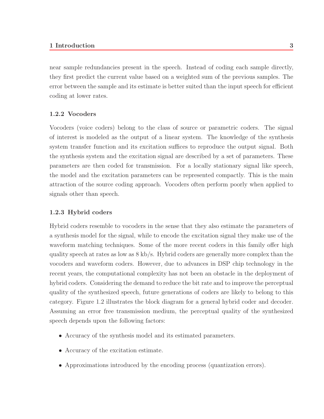#### **1 Introduction 3**

near sample redundancies present in the speech. Instead of coding each sample directly, they first predict the current value based on a weighted sum of the previous samples. The error between the sample and its estimate is better suited than the input speech for efficient coding at lower rates.

#### **1.2.2 Vocoders**

Vocoders (voice coders) belong to the class of source or parametric coders. The signal of interest is modeled as the output of a linear system. The knowledge of the synthesis system transfer function and its excitation suffices to reproduce the output signal. Both the synthesis system and the excitation signal are described by a set of parameters. These parameters are then coded for transmission. For a locally stationary signal like speech, the model and the excitation parameters can be represented compactly. This is the main attraction of the source coding approach. Vocoders often perform poorly when applied to signals other than speech.

#### **1.2.3 Hybrid coders**

Hybrid coders resemble to vocoders in the sense that they also estimate the parameters of a synthesis model for the signal, while to encode the excitation signal they make use of the waveform matching techniques. Some of the more recent coders in this family offer high quality speech at rates as low as 8 kb/s. Hybrid coders are generally more complex than the vocoders and waveform coders. However, due to advances in DSP chip technology in the recent years, the computational complexity has not been an obstacle in the deployment of hybrid coders. Considering the demand to reduce the bit rate and to improve the perceptual quality of the synthesized speech, future generations of coders are likely to belong to this category. Figure 1.2 illustrates the block diagram for a general hybrid coder and decoder. Assuming an error free transmission medium, the perceptual quality of the synthesized speech depends upon the following factors:

- Accuracy of the synthesis model and its estimated parameters.
- Accuracy of the excitation estimate.
- Approximations introduced by the encoding process (quantization errors).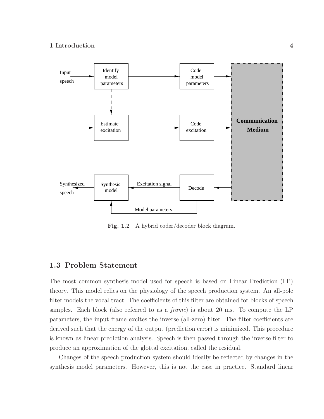

**Fig. 1.2** A hybrid coder/decoder block diagram.

# **1.3 Problem Statement**

The most common synthesis model used for speech is based on Linear Prediction (LP) theory. This model relies on the physiology of the speech production system. An all-pole filter models the vocal tract. The coefficients of this filter are obtained for blocks of speech samples. Each block (also referred to as a frame) is about 20 ms. To compute the LP parameters, the input frame excites the inverse (all-zero) filter. The filter coefficients are derived such that the energy of the output (prediction error) is minimized. This procedure is known as linear prediction analysis. Speech is then passed through the inverse filter to produce an approximation of the glottal excitation, called the residual.

Changes of the speech production system should ideally be reflected by changes in the synthesis model parameters. However, this is not the case in practice. Standard linear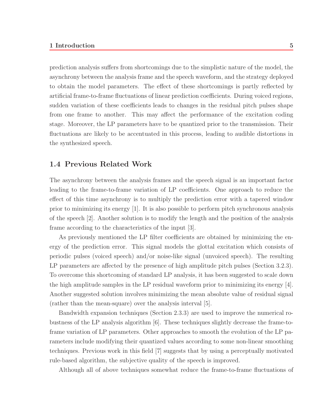#### **1 Introduction 5**

prediction analysis suffers from shortcomings due to the simplistic nature of the model, the asynchrony between the analysis frame and the speech waveform, and the strategy deployed to obtain the model parameters. The effect of these shortcomings is partly reflected by artificial frame-to-frame fluctuations of linear prediction coefficients. During voiced regions, sudden variation of these coefficients leads to changes in the residual pitch pulses shape from one frame to another. This may affect the performance of the excitation coding stage. Moreover, the LP parameters have to be quantized prior to the transmission. Their fluctuations are likely to be accentuated in this process, leading to audible distortions in the synthesized speech.

## **1.4 Previous Related Work**

The asynchrony between the analysis frames and the speech signal is an important factor leading to the frame-to-frame variation of LP coefficients. One approach to reduce the effect of this time asynchrony is to multiply the prediction error with a tapered window prior to minimizing its energy [1]. It is also possible to perform pitch synchronous analysis of the speech [2]. Another solution is to modify the length and the position of the analysis frame according to the characteristics of the input [3].

As previously mentioned the LP filter coefficients are obtained by minimizing the energy of the prediction error. This signal models the glottal excitation which consists of periodic pulses (voiced speech) and/or noise-like signal (unvoiced speech). The resulting LP parameters are affected by the presence of high amplitude pitch pulses (Section 3.2.3). To overcome this shortcoming of standard LP analysis, it has been suggested to scale down the high amplitude samples in the LP residual waveform prior to minimizing its energy [4]. Another suggested solution involves minimizing the mean absolute value of residual signal (rather than the mean-square) over the analysis interval [5].

Bandwidth expansion techniques (Section 2.3.3) are used to improve the numerical robustness of the LP analysis algorithm [6]. These techniques slightly decrease the frame-toframe variation of LP parameters. Other approaches to smooth the evolution of the LP parameters include modifying their quantized values according to some non-linear smoothing techniques. Previous work in this field [7] suggests that by using a perceptually motivated rule-based algorithm, the subjective quality of the speech is improved.

Although all of above techniques somewhat reduce the frame-to-frame fluctuations of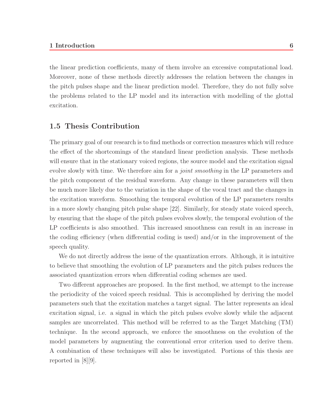the linear prediction coefficients, many of them involve an excessive computational load. Moreover, none of these methods directly addresses the relation between the changes in the pitch pulses shape and the linear prediction model. Therefore, they do not fully solve the problems related to the LP model and its interaction with modelling of the glottal excitation.

# **1.5 Thesis Contribution**

The primary goal of our research is to find methods or correction measures which will reduce the effect of the shortcomings of the standard linear prediction analysis. These methods will ensure that in the stationary voiced regions, the source model and the excitation signal evolve slowly with time. We therefore aim for a *joint smoothing* in the LP parameters and the pitch component of the residual waveform. Any change in these parameters will then be much more likely due to the variation in the shape of the vocal tract and the changes in the excitation waveform. Smoothing the temporal evolution of the LP parameters results in a more slowly changing pitch pulse shape [22]. Similarly, for steady state voiced speech, by ensuring that the shape of the pitch pulses evolves slowly, the temporal evolution of the LP coefficients is also smoothed. This increased smoothness can result in an increase in the coding efficiency (when differential coding is used) and/or in the improvement of the speech quality.

We do not directly address the issue of the quantization errors. Although, it is intuitive to believe that smoothing the evolution of LP parameters and the pitch pulses reduces the associated quantization errors when differential coding schemes are used.

Two different approaches are proposed. In the first method, we attempt to the increase the periodicity of the voiced speech residual. This is accomplished by deriving the model parameters such that the excitation matches a target signal. The latter represents an ideal excitation signal, i.e. a signal in which the pitch pulses evolve slowly while the adjacent samples are uncorrelated. This method will be referred to as the Target Matching (TM) technique. In the second approach, we enforce the smoothness on the evolution of the model parameters by augmenting the conventional error criterion used to derive them. A combination of these techniques will also be investigated. Portions of this thesis are reported in [8][9].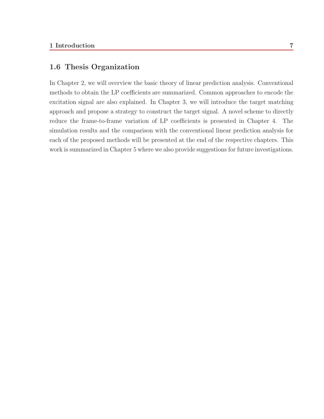# **1.6 Thesis Organization**

In Chapter 2, we will overview the basic theory of linear prediction analysis. Conventional methods to obtain the LP coefficients are summarized. Common approaches to encode the excitation signal are also explained. In Chapter 3, we will introduce the target matching approach and propose a strategy to construct the target signal. A novel scheme to directly reduce the frame-to-frame variation of LP coefficients is presented in Chapter 4. The simulation results and the comparison with the conventional linear prediction analysis for each of the proposed methods will be presented at the end of the respective chapters. This work is summarized in Chapter 5 where we also provide suggestions for future investigations.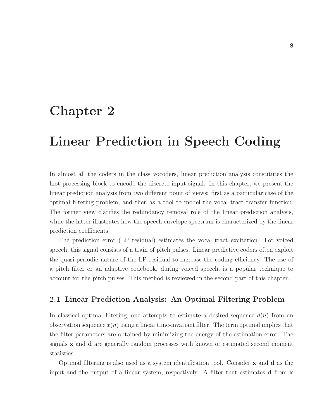# **Chapter 2**

# **Linear Prediction in Speech Coding**

In almost all the coders in the class vocoders, linear prediction analysis constitutes the first processing block to encode the discrete input signal. In this chapter, we present the linear prediction analysis from two different point of views: first as a particular case of the optimal filtering problem, and then as a tool to model the vocal tract transfer function. The former view clarifies the redundancy removal role of the linear prediction analysis, while the latter illustrates how the speech envelope spectrum is characterized by the linear prediction coefficients.

The prediction error (LP residual) estimates the vocal tract excitation. For voiced speech, this signal consists of a train of pitch pulses. Linear predictive coders often exploit the quasi-periodic nature of the LP residual to increase the coding efficiency. The use of a pitch filter or an adaptive codebook, during voiced speech, is a popular technique to account for the pitch pulses. This method is reviewed in the second part of this chapter.

# **2.1 Linear Prediction Analysis: An Optimal Filtering Problem**

In classical optimal filtering, one attempts to estimate a desired sequence  $d(n)$  from an observation sequence  $x(n)$  using a linear time-invariant filter. The term optimal implies that the filter parameters are obtained by minimizing the energy of the estimation error. The signals **x** and **d** are generally random processes with known or estimated second moment statistics.

Optimal filtering is also used as a system identification tool. Consider **x** and **d** as the input and the output of a linear system, respectively. A filter that estimates **d** from **x**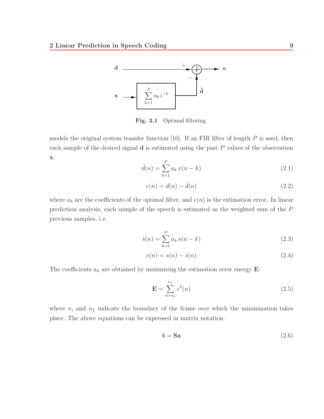

**Fig. 2.1** Optimal filtering.

models the original system transfer function  $[10]$ . If an FIR filter of length  $P$  is used, then each sample of the desired signal **d** is estimated using the past P values of the observation **x**.

$$
\hat{d}(n) = \sum_{k=1}^{P} a_k x(n-k)
$$
\n(2.1)

$$
e(n) = d(n) - \hat{d}(n) \tag{2.2}
$$

where  $a_k$  are the coefficients of the optimal filter, and  $e(n)$  is the estimation error. In linear prediction analysis, each sample of the speech is estimated as the weighted sum of the P previous samples, i.e.

$$
\hat{s}(n) = \sum_{k=1}^{P} a_k s(n-k)
$$
\n(2.3)

$$
e(n) = s(n) - \hat{s}(n) \tag{2.4}
$$

The coefficients  $a_k$  are obtained by minimizing the estimation error energy  $\mathbf{E}$ :

$$
\mathbf{E} = \sum_{n=n_i}^{n_f} e^2(n) \tag{2.5}
$$

where  $n_i$  and  $n_f$  indicate the boundary of the frame over which the minimization takes place. The above equations can be expressed in matrix notation.

$$
\hat{\mathbf{s}} = \mathbf{S}\mathbf{a} \tag{2.6}
$$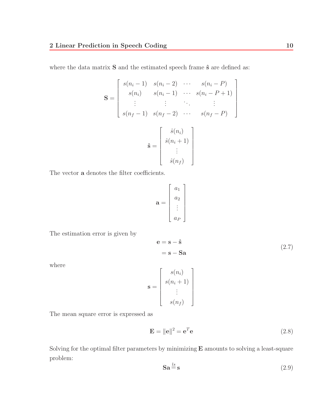where the data matrix **S** and the estimated speech frame  $\hat{\mathbf{s}}$  are defined as:

$$
\mathbf{S} = \begin{bmatrix} s(n_i - 1) & s(n_i - 2) & \cdots & s(n_i - P) \\ s(n_i) & s(n_i - 1) & \cdots & s(n_i - P + 1) \\ \vdots & \vdots & \ddots & \vdots \\ s(n_f - 1) & s(n_f - 2) & \cdots & s(n_f - P) \end{bmatrix}
$$

$$
\hat{\mathbf{s}} = \begin{bmatrix} \hat{s}(n_i) \\ \hat{s}(n_i + 1) \\ \vdots \\ \hat{s}(n_f) \end{bmatrix}
$$

The vector **a** denotes the filter coefficients.

$$
\mathbf{a} = \begin{bmatrix} a_1 \\ a_2 \\ \vdots \\ a_P \end{bmatrix}
$$

The estimation error is given by

$$
\mathbf{e} = \mathbf{s} - \hat{\mathbf{s}}
$$
  
=  $\mathbf{s} - \mathbf{S}\mathbf{a}$   

$$
\mathbf{s} = \begin{bmatrix} s(n_i) \\ s(n_i + 1) \\ \vdots \\ s(n_i) \end{bmatrix}
$$

where

The mean square error is expressed as

$$
\mathbf{E} = \|\mathbf{e}\|^2 = \mathbf{e}^T \mathbf{e}
$$
 (2.8)

Solving for the optimal filter parameters by minimizing **E** amounts to solving a least-square problem:

 $s(n_f)$ 

$$
\mathbf{Sa} \stackrel{\text{ls}}{=} \mathbf{s} \tag{2.9}
$$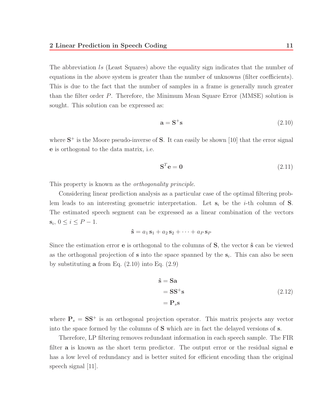The abbreviation ls (Least Squares) above the equality sign indicates that the number of equations in the above system is greater than the number of unknowns (filter coefficients). This is due to the fact that the number of samples in a frame is generally much greater than the filter order P. Therefore, the Minimum Mean Square Error (MMSE) solution is sought. This solution can be expressed as:

$$
\mathbf{a} = \mathbf{S}^+ \mathbf{s} \tag{2.10}
$$

where  $S^+$  is the Moore pseudo-inverse of S. It can easily be shown [10] that the error signal **e** is orthogonal to the data matrix, i.e.

$$
\mathbf{S}^T \mathbf{e} = \mathbf{0} \tag{2.11}
$$

This property is known as the *orthogonality principle*.

Considering linear prediction analysis as a particular case of the optimal filtering problem leads to an interesting geometric interpretation. Let  $s_i$  be the *i*-th column of **S**. The estimated speech segment can be expressed as a linear combination of the vectors **s**<sub>i</sub>, 0 ≤ *i* ≤ *P* − 1.

$$
\hat{\mathbf{s}} = a_1 \,\mathbf{s}_1 + a_2 \,\mathbf{s}_2 + \cdots + a_P \,\mathbf{s}_P
$$

Since the estimation error **e** is orthogonal to the columns of **S**, the vector **ˆs** can be viewed as the orthogonal projection of  $s$  into the space spanned by the  $s_i$ . This can also be seen by substituting **a** from Eq. (2.10) into Eq. (2.9)

$$
\hat{\mathbf{s}} = \mathbf{S}\mathbf{a} \n= \mathbf{S}\mathbf{S}^{+}\mathbf{s} \n= \mathbf{P}_{s}\mathbf{s}
$$
\n(2.12)

where  $P_s = SS^+$  is an orthogonal projection operator. This matrix projects any vector into the space formed by the columns of **S** which are in fact the delayed versions of **s**.

Therefore, LP filtering removes redundant information in each speech sample. The FIR filter **a** is known as the short term predictor. The output error or the residual signal **e** has a low level of redundancy and is better suited for efficient encoding than the original speech signal [11].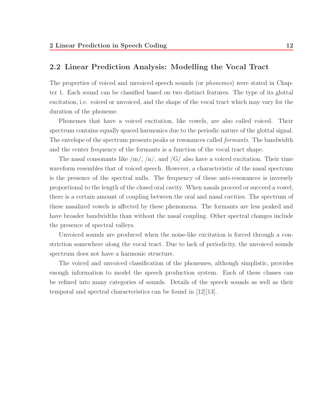### **2.2 Linear Prediction Analysis: Modelling the Vocal Tract**

The properties of voiced and unvoiced speech sounds (or phonemes) were stated in Chapter 1. Each sound can be classified based on two distinct features. The type of its glottal excitation, i.e. voiced or unvoiced, and the shape of the vocal tract which may vary for the duration of the phoneme.

Phonemes that have a voiced excitation, like vowels, are also called voiced. Their spectrum contains equally spaced harmonics due to the periodic nature of the glottal signal. The envelope of the spectrum presents peaks or resonances called *formants*. The bandwidth and the center frequency of the formants is a function of the vocal tract shape.

The nasal consonants like  $/m/$ ,  $/n/$ , and  $/G/$  also have a voiced excitation. Their time waveform resembles that of voiced speech. However, a characteristic of the nasal spectrum is the presence of the spectral nulls. The frequency of these anti-resonances is inversely proportional to the length of the closed oral cavity. When nasals proceed or succeed a vowel, there is a certain amount of coupling between the oral and nasal cavities. The spectrum of these nasalized vowels is affected by these phenomena. The formants are less peaked and have broader bandwidths than without the nasal coupling. Other spectral changes include the presence of spectral valleys.

Unvoiced sounds are produced when the noise-like excitation is forced through a constriction somewhere along the vocal tract. Due to lack of periodicity, the unvoiced sounds spectrum does not have a harmonic structure.

The voiced and unvoiced classification of the phonemes, although simplistic, provides enough information to model the speech production system. Each of these classes can be refined into many categories of sounds. Details of the speech sounds as well as their temporal and spectral characteristics can be found in [12][13].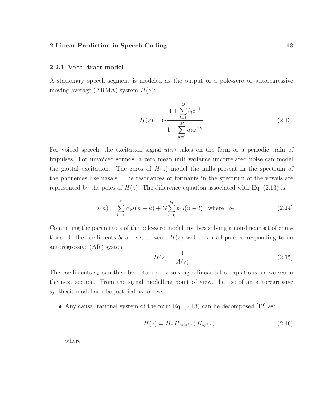#### **2.2.1 Vocal tract model**

A stationary speech segment is modeled as the output of a pole-zero or autoregressive moving average (ARMA) system  $H(z)$ :

$$
H(z) = G \frac{1 + \sum_{l=1}^{Q} b_l z^{-l}}{1 - \sum_{k=1}^{P} a_k z^{-k}}
$$
(2.13)

For voiced speech, the excitation signal  $u(n)$  takes on the form of a periodic train of impulses. For unvoiced sounds, a zero mean unit variance uncorrelated noise can model the glottal excitation. The zeros of  $H(z)$  model the nulls present in the spectrum of the phonemes like nasals. The resonances or formants in the spectrum of the vowels are represented by the poles of  $H(z)$ . The difference equation associated with Eq. (2.13) is:

$$
s(n) = \sum_{k=1}^{P} a_k s(n-k) + G \sum_{l=0}^{Q} b_l u(n-l) \quad \text{where} \quad b_0 = 1 \tag{2.14}
$$

Computing the parameters of the pole-zero model involves solving a non-linear set of equations. If the coefficients  $b_l$  are set to zero,  $H(z)$  will be an all-pole corresponding to an autoregressive (AR) system:

$$
H(z) = \frac{1}{A(z)}\tag{2.15}
$$

The coefficients  $a_k$  can then be obtained by solving a linear set of equations, as we see in the next section. From the signal modelling point of view, the use of an autoregressive synthesis model can be justified as follows:

• Any causal rational system of the form Eq.  $(2.13)$  can be decomposed [12] as:

$$
H(z) = H_g H_{min}(z) H_{ap}(z)
$$
\n
$$
(2.16)
$$

where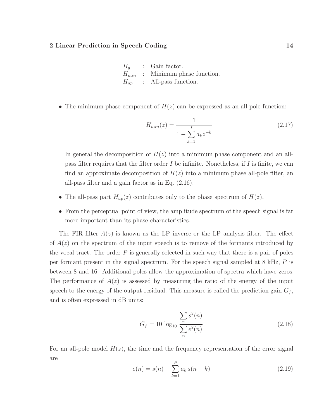| H <sub>q</sub> | : Gain factor.                      |
|----------------|-------------------------------------|
|                | $H_{min}$ : Minimum phase function. |
|                | $H_{ap}$ : All-pass function.       |

• The minimum phase component of  $H(z)$  can be expressed as an all-pole function:

$$
H_{min}(z) = \frac{1}{1 - \sum_{k=1}^{I} a_k z^{-k}}
$$
\n(2.17)

In general the decomposition of  $H(z)$  into a minimum phase component and an allpass filter requires that the filter order  $I$  be infinite. Nonetheless, if  $I$  is finite, we can find an approximate decomposition of  $H(z)$  into a minimum phase all-pole filter, an all-pass filter and a gain factor as in Eq. (2.16).

- The all-pass part  $H_{ap}(z)$  contributes only to the phase spectrum of  $H(z)$ .
- From the perceptual point of view, the amplitude spectrum of the speech signal is far more important than its phase characteristics.

The FIR filter  $A(z)$  is known as the LP inverse or the LP analysis filter. The effect of  $A(z)$  on the spectrum of the input speech is to remove of the formants introduced by the vocal tract. The order  $P$  is generally selected in such way that there is a pair of poles per formant present in the signal spectrum. For the speech signal sampled at 8 kHz, P is between 8 and 16. Additional poles allow the approximation of spectra which have zeros. The performance of  $A(z)$  is assessed by measuring the ratio of the energy of the input speech to the energy of the output residual. This measure is called the prediction gain  $G_f$ , and is often expressed in dB units:

$$
G_f = 10 \log_{10} \frac{\sum_{n} s^2(n)}{\sum_{n} e^2(n)} \tag{2.18}
$$

For an all-pole model  $H(z)$ , the time and the frequency representation of the error signal are

$$
e(n) = s(n) - \sum_{k=1}^{P} a_k s(n-k)
$$
\n(2.19)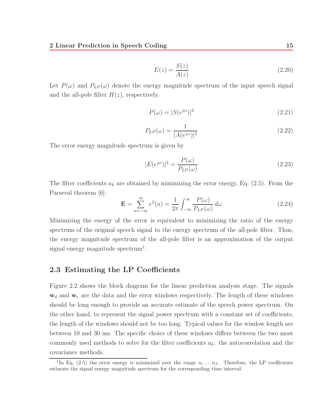$$
E(z) = \frac{S(z)}{A(z)}\tag{2.20}
$$

Let  $P(\omega)$  and  $P_{LP}(\omega)$  denote the energy magnitude spectrum of the input speech signal and the all-pole filter  $H(z)$ , respectively.

$$
P(\omega) = |S(e^{j\omega})|^2 \tag{2.21}
$$

$$
P_{LP}(\omega) = \frac{1}{|A(e^{j\omega})|^2}
$$
\n(2.22)

The error energy magnitude spectrum is given by

$$
|E(e^{j\omega})|^2 = \frac{P(\omega)}{P_{LP}(\omega)}\tag{2.23}
$$

The filter coefficients  $a_k$  are obtained by minimizing the error energy, Eq. (2.5). From the Parseval theorem [6]:

$$
\mathbf{E} = \sum_{n=-\infty}^{\infty} e^2(n) = \frac{1}{2\pi} \int_{-\infty}^{\infty} \frac{P(\omega)}{P_{LP}(\omega)} d\omega \qquad (2.24)
$$

Minimizing the energy of the error is equivalent to minimizing the ratio of the energy spectrum of the original speech signal to the energy spectrum of the all-pole filter. Thus, the energy magnitude spectrum of the all-pole filter is an approximation of the output signal energy magnitude spectrum<sup>1</sup>.

## **2.3 Estimating the LP Coefficients**

Figure 2.2 shows the block diagram for the linear prediction analysis stage. The signals  $w_d$  and  $w_e$  are the data and the error windows respectively. The length of these windows should be long enough to provide an accurate estimate of the speech power spectrum. On the other hand, to represent the signal power spectrum with a constant set of coefficients, the length of the windows should not be too long. Typical values for the window length are between 10 and 30 ms. The specific choice of these windows differs between the two most commonly used methods to solve for the filter coefficients  $a_k$ : the autocorrelation and the covariance methods.

<sup>&</sup>lt;sup>1</sup>In Eq. (2.5) the error energy is minimized over the range  $n_i \dots n_f$ . Therefore, the LP coefficients estimate the signal energy magnitude spectrum for the corresponding time interval.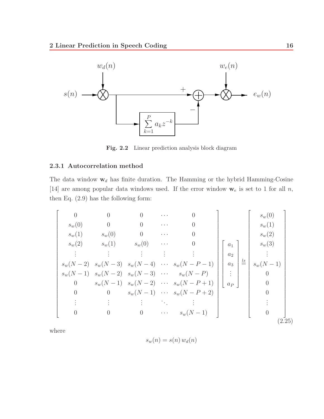

**Fig. 2.2** Linear prediction analysis block diagram

### **2.3.1 Autocorrelation method**

The data window  $\mathbf{w}_d$  has finite duration. The Hamming or the hybrid Hamming-Cosine [14] are among popular data windows used. If the error window  $\mathbf{w}_e$  is set to 1 for all n, then Eq. (2.9) has the following form:

$$
\begin{bmatrix}\n0 & 0 & 0 & \cdots & 0 \\
s_w(0) & 0 & 0 & \cdots & 0 \\
s_w(1) & s_w(0) & 0 & \cdots & 0 \\
\vdots & \vdots & \vdots & \vdots & \vdots \\
s_w(N-2) & s_w(N-3) & s_w(N-4) & \cdots & s_w(N-P-1) \\
0 & s_w(N-1) & s_w(N-2) & s_w(N-2) & \cdots & s_w(N-P+1) \\
0 & 0 & s_w(N-1) & s_w(N-1) & \cdots & s_w(N-P+1) \\
0 & 0 & s_w(N-1) & \cdots & s_w(N-P+2) \\
\vdots & \vdots & \vdots & \ddots & \vdots \\
0 & 0 & 0 & \cdots & s_w(N-1)\n\end{bmatrix}\n\begin{bmatrix}\na_1 \\
a_2 \\
a_3 \\
\vdots \\
a_P\n\end{bmatrix}\n\begin{bmatrix}\ns_w(0) \\
s_w(1) \\
s_w(2) \\
\vdots \\
s_w(2) \\
0 \\
0 \\
0\n\end{bmatrix}
$$
\n(2.25)

where

$$
s_w(n) = s(n) \, w_d(n)
$$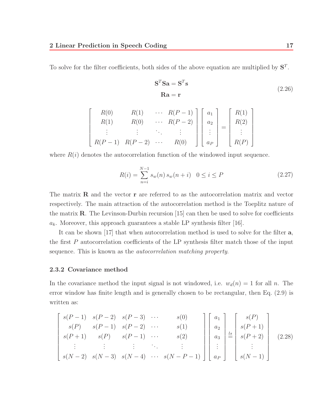To solve for the filter coefficients, both sides of the above equation are multiplied by **S**<sup>T</sup> .

$$
\mathbf{S}^T \mathbf{S} \mathbf{a} = \mathbf{S}^T \mathbf{s}
$$
  

$$
\mathbf{R} \mathbf{a} = \mathbf{r}
$$
 (2.26)

$$
\begin{bmatrix}\nR(0) & R(1) & \cdots & R(P-1) \\
R(1) & R(0) & \cdots & R(P-2) \\
\vdots & \vdots & \ddots & \vdots \\
R(P-1) & R(P-2) & \cdots & R(0)\n\end{bmatrix}\n\begin{bmatrix}\na_1 \\
a_2 \\
\vdots \\
a_P\n\end{bmatrix}\n=\n\begin{bmatrix}\nR(1) \\
R(2) \\
\vdots \\
R(P)\n\end{bmatrix}
$$

where  $R(i)$  denotes the autocorrelation function of the windowed input sequence.

$$
R(i) = \sum_{n=i}^{N-1} s_w(n) s_w(n+i) \quad 0 \le i \le P
$$
\n(2.27)

The matrix **R** and the vector **r** are referred to as the autocorrelation matrix and vector respectively. The main attraction of the autocorrelation method is the Toeplitz nature of the matrix **R**. The Levinson-Durbin recursion [15] can then be used to solve for coefficients  $a_k$ . Moreover, this approach guarantees a stable LP synthesis filter [16].

It can be shown [17] that when autocorrelation method is used to solve for the filter **a**, the first  $P$  autocorrelation coefficients of the LP synthesis filter match those of the input sequence. This is known as the autocorrelation matching property.

#### **2.3.2 Covariance method**

In the covariance method the input signal is not windowed, i.e.  $w_d(n) = 1$  for all n. The error window has finite length and is generally chosen to be rectangular, then Eq. (2.9) is written as:

$$
\begin{bmatrix}\ns(P-1) & s(P-2) & s(P-3) & \cdots & s(0) \\
s(P) & s(P-1) & s(P-2) & \cdots & s(1) \\
s(P+1) & s(P) & s(P-1) & \cdots & s(2) \\
\vdots & \vdots & \vdots & \ddots & \vdots \\
s(N-2) & s(N-3) & s(N-4) & \cdots & s(N-P-1)\n\end{bmatrix}\n\begin{bmatrix}\na_1 \\
a_2 \\
a_3 \\
\vdots \\
a_P\n\end{bmatrix}\n\begin{bmatrix}\ns(P) \\
s(P+1) \\
s(P+2) \\
\vdots \\
s(N-1)\n\end{bmatrix}
$$
\n(2.28)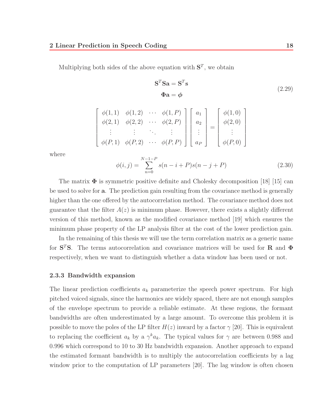$\sqrt{ }$  $\overline{1}$  $\overline{1}$  $\overline{1}$  $\overline{1}$  $\overline{1}$  $\overline{1}$  $\overline{1}$ 

Multiplying both sides of the above equation with  $S<sup>T</sup>$ , we obtain

$$
\mathbf{S}^T \mathbf{S} \mathbf{a} = \mathbf{S}^T \mathbf{s}
$$
  
\n
$$
\Phi \mathbf{a} = \phi
$$
 (2.29)

$$
\begin{array}{c}\n\phi(1,1) & \phi(1,2) & \cdots & \phi(1,P) \\
\phi(2,1) & \phi(2,2) & \cdots & \phi(2,P) \\
\vdots & \vdots & \ddots & \vdots \\
\phi(P,1) & \phi(P,2) & \cdots & \phi(P,P)\n\end{array}\n\begin{bmatrix}\na_1 \\
a_2 \\
\vdots \\
a_P\n\end{bmatrix}\n=\n\begin{bmatrix}\n\phi(1,0) \\
\phi(2,0) \\
\vdots \\
\phi(P,0)\n\end{bmatrix}
$$

where

$$
\phi(i,j) = \sum_{n=0}^{N-1-P} s(n-i+P)s(n-j+P)
$$
\n(2.30)

The matrix  $\Phi$  is symmetric positive definite and Cholesky decomposition [18] [15] can be used to solve for **a**. The prediction gain resulting from the covariance method is generally higher than the one offered by the autocorrelation method. The covariance method does not guarantee that the filter  $A(z)$  is minimum phase. However, there exists a slightly different version of this method, known as the modified covariance method [19] which ensures the minimum phase property of the LP analysis filter at the cost of the lower prediction gain.

In the remaining of this thesis we will use the term correlation matrix as a generic name for **S**<sup>T</sup>**S**. The terms autocorrelation and covariance matrices will be used for **R** and **Φ** respectively, when we want to distinguish whether a data window has been used or not.

#### **2.3.3 Bandwidth expansion**

The linear prediction coefficients  $a_k$  parameterize the speech power spectrum. For high pitched voiced signals, since the harmonics are widely spaced, there are not enough samples of the envelope spectrum to provide a reliable estimate. At these regions, the formant bandwidths are often underestimated by a large amount. To overcome this problem it is possible to move the poles of the LP filter  $H(z)$  inward by a factor  $\gamma$  [20]. This is equivalent to replacing the coefficient  $a_k$  by a  $\gamma^k a_k$ . The typical values for  $\gamma$  are between 0.988 and 0.996 which correspond to 10 to 30 Hz bandwidth expansion. Another approach to expand the estimated formant bandwidth is to multiply the autocorrelation coefficients by a lag window prior to the computation of LP parameters [20]. The lag window is often chosen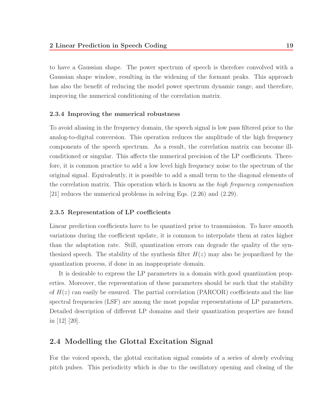to have a Gaussian shape. The power spectrum of speech is therefore convolved with a Gaussian shape window, resulting in the widening of the formant peaks. This approach has also the benefit of reducing the model power spectrum dynamic range, and therefore, improving the numerical conditioning of the correlation matrix.

#### **2.3.4 Improving the numerical robustness**

To avoid aliasing in the frequency domain, the speech signal is low pass filtered prior to the analog-to-digital conversion. This operation reduces the amplitude of the high frequency components of the speech spectrum. As a result, the correlation matrix can become illconditioned or singular. This affects the numerical precision of the LP coefficients. Therefore, it is common practice to add a low level high frequency noise to the spectrum of the original signal. Equivalently, it is possible to add a small term to the diagonal elements of the correlation matrix. This operation which is known as the *high frequency compensation* [21] reduces the numerical problems in solving Eqs. (2.26) and (2.29).

#### **2.3.5 Representation of LP coefficients**

Linear prediction coefficients have to be quantized prior to transmission. To have smooth variations during the coefficient update, it is common to interpolate them at rates higher than the adaptation rate. Still, quantization errors can degrade the quality of the synthesized speech. The stability of the synthesis filter  $H(z)$  may also be jeopardized by the quantization process, if done in an inappropriate domain.

It is desirable to express the LP parameters in a domain with good quantization properties. Moreover, the representation of these parameters should be such that the stability of  $H(z)$  can easily be ensured. The partial correlation (PARCOR) coefficients and the line spectral frequencies (LSF) are among the most popular representations of LP parameters. Detailed description of different LP domains and their quantization properties are found in [12] [20].

## **2.4 Modelling the Glottal Excitation Signal**

For the voiced speech, the glottal excitation signal consists of a series of slowly evolving pitch pulses. This periodicity which is due to the oscillatory opening and closing of the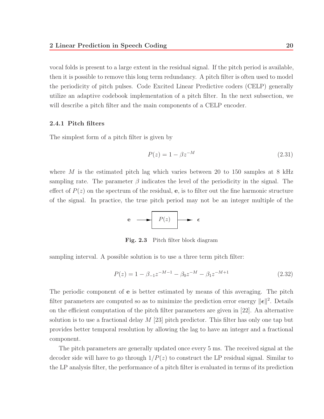vocal folds is present to a large extent in the residual signal. If the pitch period is available, then it is possible to remove this long term redundancy. A pitch filter is often used to model the periodicity of pitch pulses. Code Excited Linear Predictive coders (CELP) generally utilize an adaptive codebook implementation of a pitch filter. In the next subsection, we will describe a pitch filter and the main components of a CELP encoder.

#### **2.4.1 Pitch filters**

The simplest form of a pitch filter is given by

$$
P(z) = 1 - \beta z^{-M}
$$
 (2.31)

where M is the estimated pitch lag which varies between 20 to 150 samples at  $8$  kHz sampling rate. The parameter  $\beta$  indicates the level of the periodicity in the signal. The effect of  $P(z)$  on the spectrum of the residual, **e**, is to filter out the fine harmonic structure of the signal. In practice, the true pitch period may not be an integer multiple of the

$$
e \longrightarrow P(z) \longrightarrow e
$$

**Fig. 2.3** Pitch filter block diagram

sampling interval. A possible solution is to use a three term pitch filter:

$$
P(z) = 1 - \beta_{-1} z^{-M-1} - \beta_0 z^{-M} - \beta_1 z^{-M+1}
$$
\n(2.32)

The periodic component of **e** is better estimated by means of this averaging. The pitch filter parameters are computed so as to minimize the prediction error energy  $\|\boldsymbol{\epsilon}\|^2$ . Details on the efficient computation of the pitch filter parameters are given in [22]. An alternative solution is to use a fractional delay  $M$  [23] pitch predictor. This filter has only one tap but provides better temporal resolution by allowing the lag to have an integer and a fractional component.

The pitch parameters are generally updated once every 5 ms. The received signal at the decoder side will have to go through  $1/P(z)$  to construct the LP residual signal. Similar to the LP analysis filter, the performance of a pitch filter is evaluated in terms of its prediction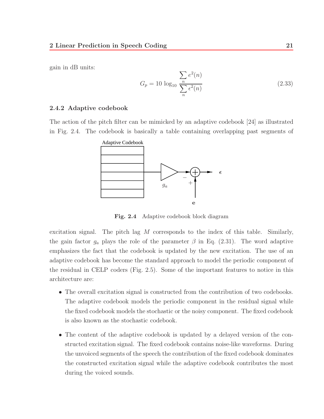gain in dB units:

$$
G_p = 10 \log_{10} \frac{\sum_{n} e^2(n)}{\sum_{n} \epsilon^2(n)}
$$
\n(2.33)

#### **2.4.2 Adaptive codebook**

The action of the pitch filter can be mimicked by an adaptive codebook [24] as illustrated in Fig. 2.4. The codebook is basically a table containing overlapping past segments of



**Fig. 2.4** Adaptive codebook block diagram

excitation signal. The pitch lag  $M$  corresponds to the index of this table. Similarly, the gain factor  $g_a$  plays the role of the parameter  $\beta$  in Eq. (2.31). The word adaptive emphasizes the fact that the codebook is updated by the new excitation. The use of an adaptive codebook has become the standard approach to model the periodic component of the residual in CELP coders (Fig. 2.5). Some of the important features to notice in this architecture are:

- The overall excitation signal is constructed from the contribution of two codebooks. The adaptive codebook models the periodic component in the residual signal while the fixed codebook models the stochastic or the noisy component. The fixed codebook is also known as the stochastic codebook.
- The content of the adaptive codebook is updated by a delayed version of the constructed excitation signal. The fixed codebook contains noise-like waveforms. During the unvoiced segments of the speech the contribution of the fixed codebook dominates the constructed excitation signal while the adaptive codebook contributes the most during the voiced sounds.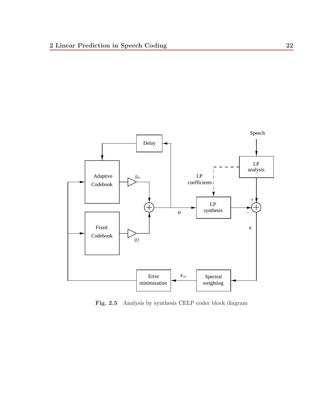

**Fig. 2.5** Analysis by synthesis CELP coder block diagram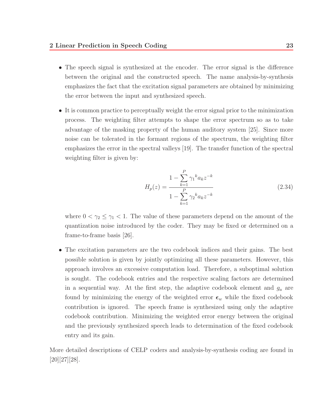- The speech signal is synthesized at the encoder. The error signal is the difference between the original and the constructed speech. The name analysis-by-synthesis emphasizes the fact that the excitation signal parameters are obtained by minimizing the error between the input and synthesized speech.
- It is common practice to perceptually weight the error signal prior to the minimization process. The weighting filter attempts to shape the error spectrum so as to take advantage of the masking property of the human auditory system [25]. Since more noise can be tolerated in the formant regions of the spectrum, the weighting filter emphasizes the error in the spectral valleys [19]. The transfer function of the spectral weighting filter is given by:

$$
H_p(z) = \frac{1 - \sum_{k=1}^P \gamma_1^k a_k z^{-k}}{1 - \sum_{k=1}^P \gamma_2^k a_k z^{-k}}
$$
(2.34)

where  $0 < \gamma_2 \leq \gamma_1 < 1$ . The value of these parameters depend on the amount of the quantization noise introduced by the coder. They may be fixed or determined on a frame-to-frame basis [26].

• The excitation parameters are the two codebook indices and their gains. The best possible solution is given by jointly optimizing all these parameters. However, this approach involves an excessive computation load. Therefore, a suboptimal solution is sought. The codebook entries and the respective scaling factors are determined in a sequential way. At the first step, the adaptive codebook element and  $g_a$  are found by minimizing the energy of the weighted error  $\epsilon_w$  while the fixed codebook contribution is ignored. The speech frame is synthesized using only the adaptive codebook contribution. Minimizing the weighted error energy between the original and the previously synthesized speech leads to determination of the fixed codebook entry and its gain.

More detailed descriptions of CELP coders and analysis-by-synthesis coding are found in [20][27][28].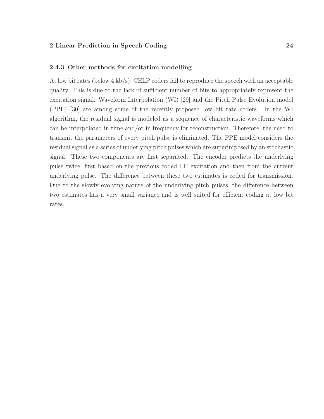### **2.4.3 Other methods for excitation modelling**

At low bit rates (below 4 kb/s), CELP coders fail to reproduce the speech with an acceptable quality. This is due to the lack of sufficient number of bits to appropriately represent the excitation signal. Waveform Interpolation (WI) [29] and the Pitch Pulse Evolution model (PPE) [30] are among some of the recently proposed low bit rate coders. In the WI algorithm, the residual signal is modeled as a sequence of characteristic waveforms which can be interpolated in time and/or in frequency for reconstruction. Therefore, the need to transmit the parameters of every pitch pulse is eliminated. The PPE model considers the residual signal as a series of underlying pitch pulses which are superimposed by an stochastic signal. These two components are first separated. The encoder predicts the underlying pulse twice, first based on the previous coded LP excitation and then from the current underlying pulse. The difference between these two estimates is coded for transmission. Due to the slowly evolving nature of the underlying pitch pulses, the difference between two estimates has a very small variance and is well suited for efficient coding at low bit rates.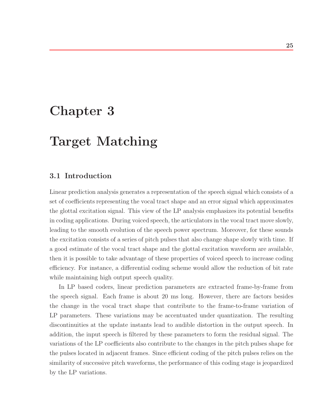# **Chapter 3**

# **Target Matching**

## **3.1 Introduction**

Linear prediction analysis generates a representation of the speech signal which consists of a set of coefficients representing the vocal tract shape and an error signal which approximates the glottal excitation signal. This view of the LP analysis emphasizes its potential benefits in coding applications. During voiced speech, the articulators in the vocal tract move slowly, leading to the smooth evolution of the speech power spectrum. Moreover, for these sounds the excitation consists of a series of pitch pulses that also change shape slowly with time. If a good estimate of the vocal tract shape and the glottal excitation waveform are available, then it is possible to take advantage of these properties of voiced speech to increase coding efficiency. For instance, a differential coding scheme would allow the reduction of bit rate while maintaining high output speech quality.

In LP based coders, linear prediction parameters are extracted frame-by-frame from the speech signal. Each frame is about 20 ms long. However, there are factors besides the change in the vocal tract shape that contribute to the frame-to-frame variation of LP parameters. These variations may be accentuated under quantization. The resulting discontinuities at the update instants lead to audible distortion in the output speech. In addition, the input speech is filtered by these parameters to form the residual signal. The variations of the LP coefficients also contribute to the changes in the pitch pulses shape for the pulses located in adjacent frames. Since efficient coding of the pitch pulses relies on the similarity of successive pitch waveforms, the performance of this coding stage is jeopardized by the LP variations.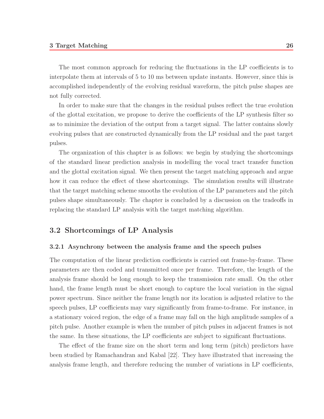The most common approach for reducing the fluctuations in the LP coefficients is to interpolate them at intervals of 5 to 10 ms between update instants. However, since this is accomplished independently of the evolving residual waveform, the pitch pulse shapes are not fully corrected.

In order to make sure that the changes in the residual pulses reflect the true evolution of the glottal excitation, we propose to derive the coefficients of the LP synthesis filter so as to minimize the deviation of the output from a target signal. The latter contains slowly evolving pulses that are constructed dynamically from the LP residual and the past target pulses.

The organization of this chapter is as follows: we begin by studying the shortcomings of the standard linear prediction analysis in modelling the vocal tract transfer function and the glottal excitation signal. We then present the target matching approach and argue how it can reduce the effect of these shortcomings. The simulation results will illustrate that the target matching scheme smooths the evolution of the LP parameters and the pitch pulses shape simultaneously. The chapter is concluded by a discussion on the tradeoffs in replacing the standard LP analysis with the target matching algorithm.

### **3.2 Shortcomings of LP Analysis**

#### **3.2.1 Asynchrony between the analysis frame and the speech pulses**

The computation of the linear prediction coefficients is carried out frame-by-frame. These parameters are then coded and transmitted once per frame. Therefore, the length of the analysis frame should be long enough to keep the transmission rate small. On the other hand, the frame length must be short enough to capture the local variation in the signal power spectrum. Since neither the frame length nor its location is adjusted relative to the speech pulses, LP coefficients may vary significantly from frame-to-frame. For instance, in a stationary voiced region, the edge of a frame may fall on the high amplitude samples of a pitch pulse. Another example is when the number of pitch pulses in adjacent frames is not the same. In these situations, the LP coefficients are subject to significant fluctuations.

The effect of the frame size on the short term and long term (pitch) predictors have been studied by Ramachandran and Kabal [22]. They have illustrated that increasing the analysis frame length, and therefore reducing the number of variations in LP coefficients,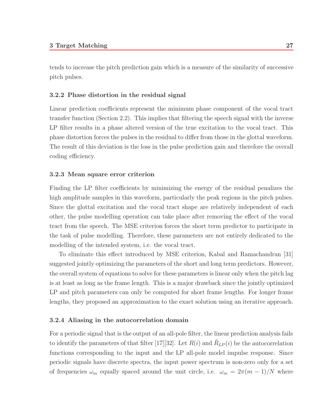tends to increase the pitch prediction gain which is a measure of the similarity of successive pitch pulses.

#### **3.2.2 Phase distortion in the residual signal**

Linear prediction coefficients represent the minimum phase component of the vocal tract transfer function (Section 2.2). This implies that filtering the speech signal with the inverse LP filter results in a phase altered version of the true excitation to the vocal tract. This phase distortion forces the pulses in the residual to differ from those in the glottal waveform. The result of this deviation is the loss in the pulse prediction gain and therefore the overall coding efficiency.

#### **3.2.3 Mean square error criterion**

Finding the LP filter coefficients by minimizing the energy of the residual penalizes the high amplitude samples in this waveform, particularly the peak regions in the pitch pulses. Since the glottal excitation and the vocal tract shape are relatively independent of each other, the pulse modelling operation can take place after removing the effect of the vocal tract from the speech. The MSE criterion forces the short term predictor to participate in the task of pulse modelling. Therefore, these parameters are not entirely dedicated to the modelling of the intended system, i.e. the vocal tract.

To eliminate this effect introduced by MSE criterion, Kabal and Ramachandran [31] suggested jointly optimizing the parameters of the short and long term predictors. However, the overall system of equations to solve for these parameters is linear only when the pitch lag is at least as long as the frame length. This is a major drawback since the jointly optimized LP and pitch parameters can only be computed for short frame lengths. For longer frame lengths, they proposed an approximation to the exact solution using an iterative approach.

#### **3.2.4 Aliasing in the autocorrelation domain**

For a periodic signal that is the output of an all-pole filter, the linear prediction analysis fails to identify the parameters of that filter [17][32]. Let  $R(i)$  and  $\hat{R}_{LP}(i)$  be the autocorrelation functions corresponding to the input and the LP all-pole model impulse response. Since periodic signals have discrete spectra, the input power spectrum is non-zero only for a set of frequencies  $\omega_m$  equally spaced around the unit circle, i.e.  $\omega_m = 2\pi (m-1)/N$  where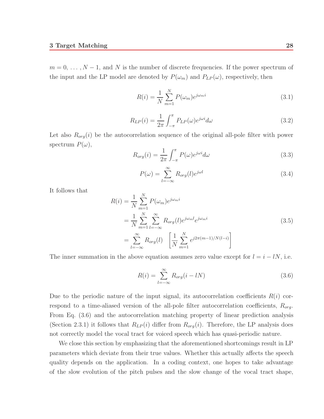$m = 0, \ldots, N-1$ , and N is the number of discrete frequencies. If the power spectrum of the input and the LP model are denoted by  $P(\omega_m)$  and  $P_{LP}(\omega)$ , respectively, then

$$
R(i) = \frac{1}{N} \sum_{m=1}^{N} P(\omega_m) e^{j\omega_m i}
$$
\n(3.1)

$$
R_{LP}(i) = \frac{1}{2\pi} \int_{-\pi}^{\pi} P_{LP}(\omega) e^{j\omega i} d\omega \tag{3.2}
$$

Let also  $R_{org}(i)$  be the autocorrelation sequence of the original all-pole filter with power spectrum  $P(\omega)$ ,

$$
R_{org}(i) = \frac{1}{2\pi} \int_{-\pi}^{\pi} P(\omega) e^{j\omega i} d\omega \tag{3.3}
$$

$$
P(\omega) = \sum_{l=-\infty}^{\infty} R_{org}(l)e^{j\omega l}
$$
\n(3.4)

It follows that

$$
R(i) = \frac{1}{N} \sum_{m=1}^{N} P(\omega_m) e^{j\omega_m i}
$$
  
= 
$$
\frac{1}{N} \sum_{m=1}^{N} \sum_{l=-\infty}^{\infty} R_{org}(l) e^{j\omega_m l} e^{j\omega_m i}
$$
  
= 
$$
\sum_{l=-\infty}^{\infty} R_{org}(l) \left[ \frac{1}{N} \sum_{m=1}^{N} e^{j2\pi(m-1)/N(l-i)} \right]
$$
 (3.5)

The inner summation in the above equation assumes zero value except for  $l = i - lN$ , i.e.

$$
R(i) = \sum_{l = -\infty}^{\infty} R_{org}(i - lN)
$$
\n(3.6)

Due to the periodic nature of the input signal, its autocorrelation coefficients  $R(i)$  correspond to a time-aliased version of the all-pole filter autocorrelation coefficients,  $R_{org}$ . From Eq. (3.6) and the autocorrelation matching property of linear prediction analysis (Section 2.3.1) it follows that  $R_{LP}(i)$  differ from  $R_{org}(i)$ . Therefore, the LP analysis does not correctly model the vocal tract for voiced speech which has quasi-periodic nature.

We close this section by emphasizing that the aforementioned shortcomings result in LP parameters which deviate from their true values. Whether this actually affects the speech quality depends on the application. In a coding context, one hopes to take advantage of the slow evolution of the pitch pulses and the slow change of the vocal tract shape,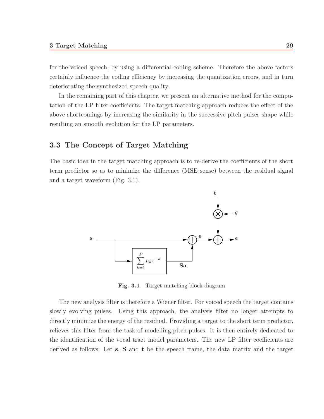for the voiced speech, by using a differential coding scheme. Therefore the above factors certainly influence the coding efficiency by increasing the quantization errors, and in turn deteriorating the synthesized speech quality.

In the remaining part of this chapter, we present an alternative method for the computation of the LP filter coefficients. The target matching approach reduces the effect of the above shortcomings by increasing the similarity in the successive pitch pulses shape while resulting an smooth evolution for the LP parameters.

### **3.3 The Concept of Target Matching**

The basic idea in the target matching approach is to re-derive the coefficients of the short term predictor so as to minimize the difference (MSE sense) between the residual signal and a target waveform (Fig. 3.1).



**Fig. 3.1** Target matching block diagram

The new analysis filter is therefore a Wiener filter. For voiced speech the target contains slowly evolving pulses. Using this approach, the analysis filter no longer attempts to directly minimize the energy of the residual. Providing a target to the short term predictor, relieves this filter from the task of modelling pitch pulses. It is then entirely dedicated to the identification of the vocal tract model parameters. The new LP filter coefficients are derived as follows: Let **s**, **S** and **t** be the speech frame, the data matrix and the target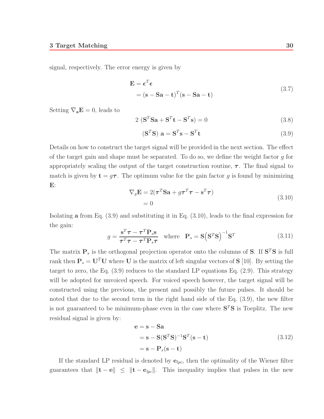signal, respectively. The error energy is given by

$$
\mathbf{E} = \boldsymbol{\epsilon}^T \boldsymbol{\epsilon}
$$
  
=  $(\mathbf{s} - \mathbf{S}\mathbf{a} - \mathbf{t})^T (\mathbf{s} - \mathbf{S}\mathbf{a} - \mathbf{t})$  (3.7)

Setting  $\nabla_{\mathbf{a}}\mathbf{E} = 0$ , leads to

$$
2\left(\mathbf{S}^T\mathbf{S}\mathbf{a} + \mathbf{S}^T\mathbf{t} - \mathbf{S}^T\mathbf{s}\right) = 0\tag{3.8}
$$

$$
(\mathbf{S}^T \mathbf{S}) \mathbf{a} = \mathbf{S}^T \mathbf{s} - \mathbf{S}^T \mathbf{t}
$$
\n(3.9)

Details on how to construct the target signal will be provided in the next section. The effect of the target gain and shape must be separated. To do so, we define the weight factor  $q$  for appropriately scaling the output of the target construction routine,  $\tau$ . The final signal to match is given by  $\mathbf{t} = g\boldsymbol{\tau}$ . The optimum value for the gain factor g is found by minimizing **E**:

$$
\nabla_g \mathbf{E} = 2(\boldsymbol{\tau}^T \mathbf{S} \mathbf{a} + g \boldsymbol{\tau}^T \boldsymbol{\tau} - \mathbf{s}^T \boldsymbol{\tau})
$$
  
= 0 (3.10)

Isolating **a** from Eq. (3.9) and substituting it in Eq. (3.10), leads to the final expression for the gain:

$$
g = \frac{\mathbf{s}^T \boldsymbol{\tau} - \boldsymbol{\tau}^T \mathbf{P}_s \mathbf{s}}{\boldsymbol{\tau}^T \boldsymbol{\tau} - \boldsymbol{\tau}^T \mathbf{P}_s \boldsymbol{\tau}} \quad \text{where} \quad \mathbf{P}_s = \mathbf{S} (\mathbf{S}^T \mathbf{S})^{-1} \mathbf{S}^T \tag{3.11}
$$

The matrix  $P_s$  is the orthogonal projection operator onto the columns of **S**. If  $S^T S$  is full rank then  $P_s = U^T U$  where U is the matrix of left singular vectors of S [10]. By setting the target to zero, the Eq. (3.9) reduces to the standard LP equations Eq. (2.9). This strategy will be adopted for unvoiced speech. For voiced speech however, the target signal will be constructed using the previous, the present and possibly the future pulses. It should be noted that due to the second term in the right hand side of the Eq. (3.9), the new filter is not guaranteed to be minimum-phase even in the case where  $S<sup>T</sup>S$  is Toeplitz. The new residual signal is given by:

$$
\mathbf{e} = \mathbf{s} - \mathbf{S}\mathbf{a}
$$
  
=  $\mathbf{s} - \mathbf{S}(\mathbf{S}^T \mathbf{S})^{-1} \mathbf{S}^T (\mathbf{s} - \mathbf{t})$   
=  $\mathbf{s} - \mathbf{P}_s (\mathbf{s} - \mathbf{t})$  (3.12)

If the standard LP residual is denoted by  $e_{lpc}$ , then the optimality of the Wiener filter guarantees that  $\|\mathbf{t} - \mathbf{e}\| \leq \|\mathbf{t} - \mathbf{e}_{lpc}\|$ . This inequality implies that pulses in the new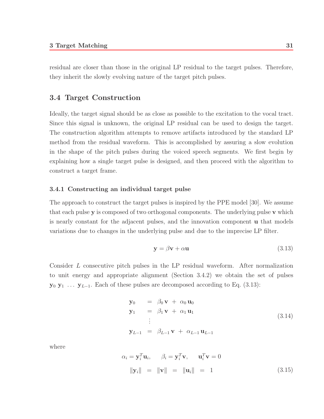residual are closer than those in the original LP residual to the target pulses. Therefore, they inherit the slowly evolving nature of the target pitch pulses.

## **3.4 Target Construction**

Ideally, the target signal should be as close as possible to the excitation to the vocal tract. Since this signal is unknown, the original LP residual can be used to design the target. The construction algorithm attempts to remove artifacts introduced by the standard LP method from the residual waveform. This is accomplished by assuring a slow evolution in the shape of the pitch pulses during the voiced speech segments. We first begin by explaining how a single target pulse is designed, and then proceed with the algorithm to construct a target frame.

#### **3.4.1 Constructing an individual target pulse**

The approach to construct the target pulses is inspired by the PPE model [30]. We assume that each pulse **y** is composed of two orthogonal components. The underlying pulse **v** which is nearly constant for the adjacent pulses, and the innovation component **u** that models variations due to changes in the underlying pulse and due to the imprecise LP filter.

$$
y = \beta v + \alpha u \tag{3.13}
$$

Consider L consecutive pitch pulses in the LP residual waveform. After normalization to unit energy and appropriate alignment (Section 3.4.2) we obtain the set of pulses **y**<sub>0</sub> **y**<sub>1</sub> ... **y**<sub>L−1</sub>. Each of these pulses are decomposed according to Eq. (3.13):

$$
\mathbf{y}_0 = \beta_0 \mathbf{v} + \alpha_0 \mathbf{u}_0
$$
  
\n
$$
\mathbf{y}_1 = \beta_1 \mathbf{v} + \alpha_1 \mathbf{u}_1
$$
  
\n
$$
\vdots
$$
  
\n
$$
\mathbf{y}_{L-1} = \beta_{L-1} \mathbf{v} + \alpha_{L-1} \mathbf{u}_{L-1}
$$
\n(3.14)

where

$$
\alpha_i = \mathbf{y}_i^T \mathbf{u}_i, \qquad \beta_i = \mathbf{y}_i^T \mathbf{v}, \qquad \mathbf{u}_i^T \mathbf{v} = 0
$$
  

$$
\|\mathbf{y}_i\| = \|\mathbf{v}\| = \|\mathbf{u}_i\| = 1
$$
 (3.15)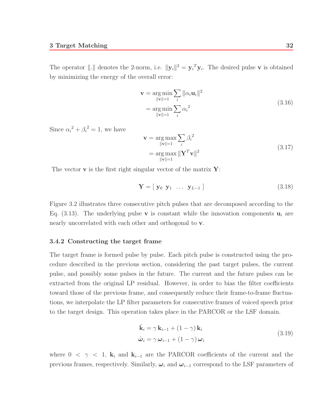The operator  $\|\cdot\|$  denotes the 2-norm, i.e.  $\|\mathbf{y}_i\|^2 = \mathbf{y}_i^T \mathbf{y}_i$ . The desired pulse **v** is obtained by minimizing the energy of the overall error:

$$
\mathbf{v} = \underset{\|\mathbf{v}\|=1}{\arg \min} \sum_{i} \|\alpha_i \mathbf{u}_i\|^2
$$
  
= 
$$
\underset{\|\mathbf{v}\|=1}{\arg \min} \sum_{i} \alpha_i^2
$$
 (3.16)

Since  $\alpha_i^2 + \beta_i^2 = 1$ , we have

$$
\mathbf{v} = \underset{\|\mathbf{v}\|=1}{\arg\max} \sum_{i} \beta_i^2
$$
  
= 
$$
\underset{\|\mathbf{v}\|=1}{\arg\max} \|\mathbf{Y}^T \mathbf{v}\|^2
$$
 (3.17)

The vector **v** is the first right singular vector of the matrix **Y**:

$$
\mathbf{Y} = [\mathbf{y}_0 \ \mathbf{y}_1 \ \dots \ \mathbf{y}_{L-1} ] \tag{3.18}
$$

Figure 3.2 illustrates three consecutive pitch pulses that are decomposed according to the Eq.  $(3.13)$ . The underlying pulse **v** is constant while the innovation components  $\mathbf{u}_i$  are nearly uncorrelated with each other and orthogonal to **v**.

#### **3.4.2 Constructing the target frame**

The target frame is formed pulse by pulse. Each pitch pulse is constructed using the procedure described in the previous section, considering the past target pulses, the current pulse, and possibly some pulses in the future. The current and the future pulses can be extracted from the original LP residual. However, in order to bias the filter coefficients toward those of the previous frame, and consequently reduce their frame-to-frame fluctuations, we interpolate the LP filter parameters for consecutive frames of voiced speech prior to the target design. This operation takes place in the PARCOR or the LSF domain.

$$
\hat{\mathbf{k}}_i = \gamma \mathbf{k}_{i-1} + (1 - \gamma) \mathbf{k}_i
$$
\n
$$
\hat{\boldsymbol{\omega}}_i = \gamma \boldsymbol{\omega}_{i-1} + (1 - \gamma) \boldsymbol{\omega}_i
$$
\n(3.19)

where  $0 < \gamma < 1$ ,  $\mathbf{k}_i$  and  $\mathbf{k}_{i-1}$  are the PARCOR coefficients of the current and the previous frames, respectively. Similarly,  $\omega_i$  and  $\omega_{i-1}$  correspond to the LSF parameters of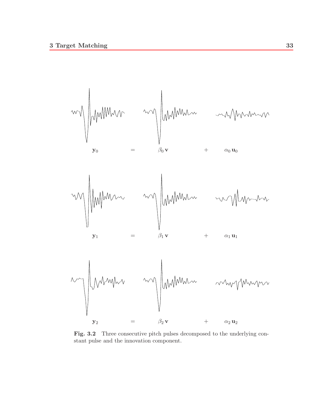

Fig. 3.2 Three consecutive pitch pulses decomposed to the underlying constant pulse and the innovation component.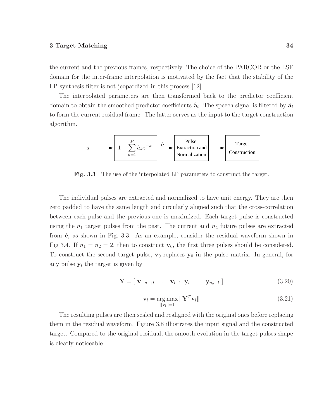the current and the previous frames, respectively. The choice of the PARCOR or the LSF domain for the inter-frame interpolation is motivated by the fact that the stability of the LP synthesis filter is not jeopardized in this process [12].

The interpolated parameters are then transformed back to the predictor coefficient domain to obtain the smoothed predictor coefficients  $\hat{a}_i$ . The speech signal is filtered by  $\hat{a}_i$ to form the current residual frame. The latter serves as the input to the target construction algorithm.



**Fig. 3.3** The use of the interpolated LP parameters to construct the target.

The individual pulses are extracted and normalized to have unit energy. They are then zero padded to have the same length and circularly aligned such that the cross-correlation between each pulse and the previous one is maximized. Each target pulse is constructed using the  $n_1$  target pulses from the past. The current and  $n_2$  future pulses are extracted from  $\hat{\mathbf{e}}$ , as shown in Fig. 3.3. As an example, consider the residual waveform shown in Fig 3.4. If  $n_1 = n_2 = 2$ , then to construct  $\mathbf{v}_0$ , the first three pulses should be considered. To construct the second target pulse,  $\mathbf{v}_0$  replaces  $\mathbf{y}_0$  in the pulse matrix. In general, for any pulse  $y_l$  the target is given by

$$
\mathbf{Y} = [\mathbf{v}_{-n_1+l} \ \dots \ \mathbf{v}_{l-1} \ \mathbf{y}_l \ \dots \ \mathbf{y}_{n_2+l} ] \tag{3.20}
$$

$$
\mathbf{v}_l = \underset{\|\mathbf{v}_l\|=1}{\arg \max} \|\mathbf{Y}^T \mathbf{v}_l\| \tag{3.21}
$$

The resulting pulses are then scaled and realigned with the original ones before replacing them in the residual waveform. Figure 3.8 illustrates the input signal and the constructed target. Compared to the original residual, the smooth evolution in the target pulses shape is clearly noticeable.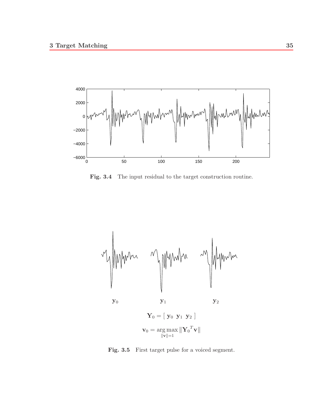

**Fig. 3.4** The input residual to the target construction routine.



Fig. 3.5 First target pulse for a voiced segment.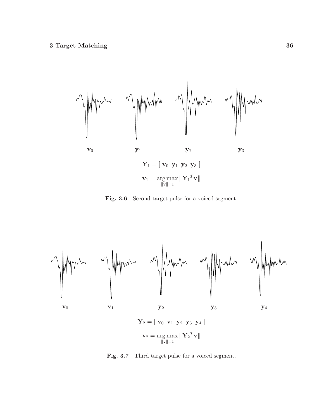

Fig. 3.6 Second target pulse for a voiced segment.



Fig. 3.7 Third target pulse for a voiced segment.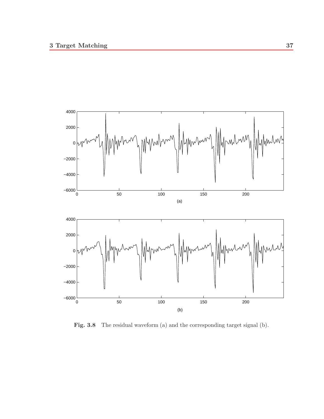

Fig. 3.8 The residual waveform (a) and the corresponding target signal (b).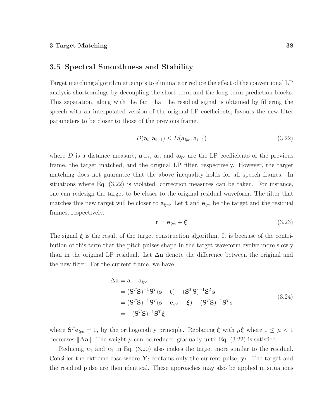### **3.5 Spectral Smoothness and Stability**

Target matching algorithm attempts to eliminate or reduce the effect of the conventional LP analysis shortcomings by decoupling the short term and the long term prediction blocks. This separation, along with the fact that the residual signal is obtained by filtering the speech with an interpolated version of the original LP coefficients, favours the new filter parameters to be closer to those of the previous frame.

$$
D(\mathbf{a}_i, \mathbf{a}_{i-1}) \le D(\mathbf{a}_{lpc}, \mathbf{a}_{i-1})
$$
\n(3.22)

where D is a distance measure,  $a_{i-1}$ ,  $a_i$ , and  $a_{lpc}$  are the LP coefficients of the previous frame, the target matched, and the original LP filter, respectively. However, the target matching does not guarantee that the above inequality holds for all speech frames. In situations where Eq. (3.22) is violated, correction measures can be taken. For instance, one can redesign the target to be closer to the original residual waveform. The filter that matches this new target will be closer to  $a_{lpc}$ . Let **t** and  $e_{lpc}$  be the target and the residual frames, respectively.

$$
\mathbf{t} = \mathbf{e}_{lpc} + \boldsymbol{\xi} \tag{3.23}
$$

The signal *ξ* is the result of the target construction algorithm. It is because of the contribution of this term that the pitch pulses shape in the target waveform evolve more slowly than in the original LP residual. Let ∆**a** denote the difference between the original and the new filter. For the current frame, we have

$$
\Delta \mathbf{a} = \mathbf{a} - \mathbf{a}_{lpc}
$$
  
=  $(\mathbf{S}^T \mathbf{S})^{-1} \mathbf{S}^T (\mathbf{s} - \mathbf{t}) - (\mathbf{S}^T \mathbf{S})^{-1} \mathbf{S}^T \mathbf{s}$   
=  $(\mathbf{S}^T \mathbf{S})^{-1} \mathbf{S}^T (\mathbf{s} - \mathbf{e}_{lpc} - \boldsymbol{\xi}) - (\mathbf{S}^T \mathbf{S})^{-1} \mathbf{S}^T \mathbf{s}$   
=  $-(\mathbf{S}^T \mathbf{S})^{-1} \mathbf{S}^T \boldsymbol{\xi}$  (3.24)

where  $S^{T} \mathbf{e}_{lpc} = 0$ , by the orthogonality principle. Replacing  $\xi$  with  $\mu \xi$  where  $0 \leq \mu < 1$ decreases  $\|\Delta \mathbf{a}\|$ . The weight  $\mu$  can be reduced gradually until Eq. (3.22) is satisfied.

Reducing  $n_1$  and  $n_2$  in Eq. (3.20) also makes the target more similar to the residual. Consider the extreme case where  $\mathbf{Y}_l$  contains only the current pulse,  $\mathbf{y}_l$ . The target and the residual pulse are then identical. These approaches may also be applied in situations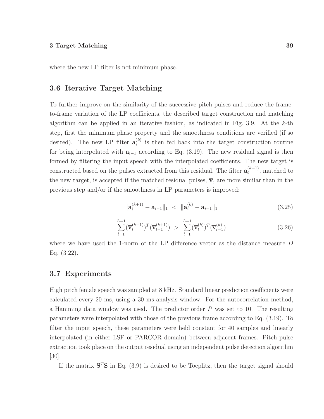where the new LP filter is not minimum phase.

## **3.6 Iterative Target Matching**

To further improve on the similarity of the successive pitch pulses and reduce the frameto-frame variation of the LP coefficients, the described target construction and matching algorithm can be applied in an iterative fashion, as indicated in Fig. 3.9. At the  $k$ -th step, first the minimum phase property and the smoothness conditions are verified (if so desired). The new LP filter  $\mathbf{a}_i^{(k)}$  is then fed back into the target construction routine for being interpolated with  $a_{i-1}$  according to Eq. (3.19). The new residual signal is then formed by filtering the input speech with the interpolated coefficients. The new target is constructed based on the pulses extracted from this residual. The filter  $\mathbf{a}_i^{(k+1)}$ , matched to the new target, is accepted if the matched residual pulses,  $\overline{v}$ , are more similar than in the previous step and/or if the smoothness in LP parameters is improved:

$$
\|\mathbf{a}_{i}^{(k+1)} - \mathbf{a}_{i-1}\|_{1} \leq \|\mathbf{a}_{i}^{(k)} - \mathbf{a}_{i-1}\|_{1} \tag{3.25}
$$

$$
\sum_{l=1}^{L-1} (\overline{\mathbf{v}}_l^{(k+1)})^T (\overline{\mathbf{v}}_{l-1}^{(k+1)}) > \sum_{l=1}^{L-1} (\overline{\mathbf{v}}_l^{(k)})^T (\overline{\mathbf{v}}_{l-1}^{(k)})
$$
(3.26)

where we have used the 1-norm of the LP difference vector as the distance measure D Eq. (3.22).

#### **3.7 Experiments**

High pitch female speech was sampled at 8 kHz. Standard linear prediction coefficients were calculated every 20 ms, using a 30 ms analysis window. For the autocorrelation method, a Hamming data window was used. The predictor order  $P$  was set to 10. The resulting parameters were interpolated with those of the previous frame according to Eq. (3.19). To filter the input speech, these parameters were held constant for 40 samples and linearly interpolated (in either LSF or PARCOR domain) between adjacent frames. Pitch pulse extraction took place on the output residual using an independent pulse detection algorithm [30].

If the matrix  $S^T S$  in Eq. (3.9) is desired to be Toeplitz, then the target signal should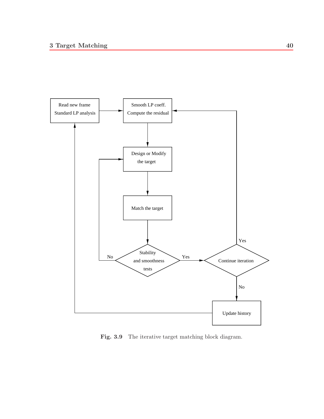

Fig. 3.9 The iterative target matching block diagram.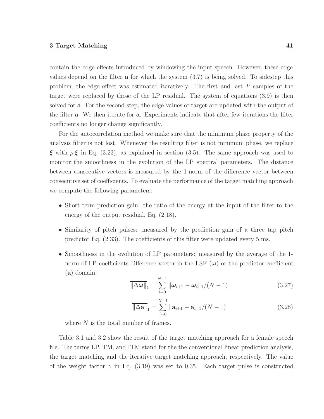contain the edge effects introduced by windowing the input speech. However, these edge values depend on the filter **a** for which the system (3.7) is being solved. To sidestep this problem, the edge effect was estimated iteratively. The first and last P samples of the target were replaced by those of the LP residual. The system of equations (3.9) is then solved for **a**. For the second step, the edge values of target are updated with the output of the filter **a**. We then iterate for **a**. Experiments indicate that after few iterations the filter coefficients no longer change significantly.

For the autocorrelation method we make sure that the minimum phase property of the analysis filter is not lost. Whenever the resulting filter is not minimum phase, we replace *ξ* with  $\mu$ *ξ* in Eq. (3.23), as explained in section (3.5). The same approach was used to monitor the smoothness in the evolution of the LP spectral parameters. The distance between consecutive vectors is measured by the 1-norm of the difference vector between consecutive set of coefficients. To evaluate the performance of the target matching approach we compute the following parameters:

- Short term prediction gain: the ratio of the energy at the input of the filter to the energy of the output residual, Eq. (2.18).
- Similarity of pitch pulses: measured by the prediction gain of a three tap pitch predictor Eq. (2.33). The coefficients of this filter were updated every 5 ms.
- Smoothness in the evolution of LP parameters: measured by the average of the 1 norm of LP coefficients difference vector in the LSF  $(\omega)$  or the predictor coefficient (**a**) domain:

$$
\overline{\|\Delta \omega\|}_{1} = \sum_{i=0}^{N-1} \|\omega_{i+1} - \omega_{i}\|_{1}/(N-1)
$$
\n(3.27)

$$
\overline{\|\Delta \mathbf{a}\|}_{1} = \sum_{i=0}^{N-1} \|\mathbf{a}_{i+1} - \mathbf{a}_{i}\|_{1}/(N-1)
$$
\n(3.28)

where  $N$  is the total number of frames.

Table 3.1 and 3.2 show the result of the target matching approach for a female speech file. The terms LP, TM, and ITM stand for the the conventional linear prediction analysis, the target matching and the iterative target matching approach, respectively. The value of the weight factor  $\gamma$  in Eq. (3.19) was set to 0.35. Each target pulse is constructed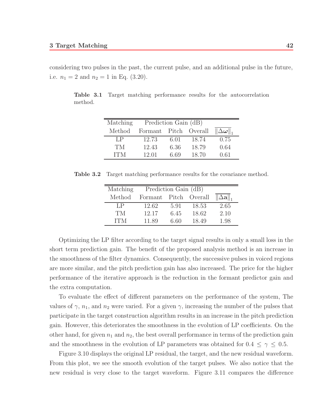considering two pulses in the past, the current pulse, and an additional pulse in the future, i.e.  $n_1 = 2$  and  $n_2 = 1$  in Eq. (3.20).

**Table 3.1** Target matching performance results for the autocorrelation method.

| Matching   | Prediction Gain (dB)  |      |       |                      |
|------------|-----------------------|------|-------|----------------------|
| Method     | Formant Pitch Overall |      |       | $\ \Delta\omega\ _*$ |
| LP         | 12.73                 | 6.01 | 18.74 | 0.75                 |
| TМ         | 12.43                 | 6.36 | 18.79 | 0.64                 |
| <b>ITM</b> | 12.01                 | 6.69 | 18.70 | 0.61                 |

**Table 3.2** Target matching performance results for the covariance method.

| Matching | Prediction Gain (dB)  |      |       |                             |
|----------|-----------------------|------|-------|-----------------------------|
| Method   | Formant Pitch Overall |      |       | $\ \Delta \mathbf{a}\ _{1}$ |
| LP       | 12.62                 | 5.91 | 18.53 | 2.65                        |
| TМ       | 12.17                 | 6.45 | 18.62 | 2.10                        |
| TTM.     | 11.89                 | 6.60 | 18.49 | 1.98                        |

Optimizing the LP filter according to the target signal results in only a small loss in the short term prediction gain. The benefit of the proposed analysis method is an increase in the smoothness of the filter dynamics. Consequently, the successive pulses in voiced regions are more similar, and the pitch prediction gain has also increased. The price for the higher performance of the iterative approach is the reduction in the formant predictor gain and the extra computation.

To evaluate the effect of different parameters on the performance of the system, The values of  $\gamma$ ,  $n_1$ , and  $n_2$  were varied. For a given  $\gamma$ , increasing the number of the pulses that participate in the target construction algorithm results in an increase in the pitch prediction gain. However, this deteriorates the smoothness in the evolution of LP coefficients. On the other hand, for given  $n_1$  and  $n_2$ , the best overall performance in terms of the prediction gain and the smoothness in the evolution of LP parameters was obtained for  $0.4 \leq \gamma \leq 0.5$ .

Figure 3.10 displays the original LP residual, the target, and the new residual waveform. From this plot, we see the smooth evolution of the target pulses. We also notice that the new residual is very close to the target waveform. Figure 3.11 compares the difference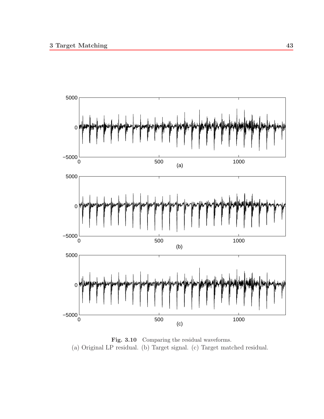

Fig. 3.10 Comparing the residual waveforms. (a) Original LP residual. (b) Target signal. (c) Target matched residual.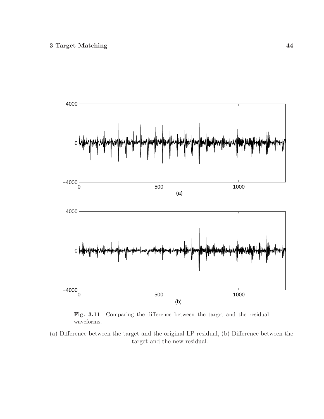

**Fig. 3.11** Comparing the difference between the target and the residual waveforms.

(a) Difference between the target and the original LP residual, (b) Difference between the target and the new residual.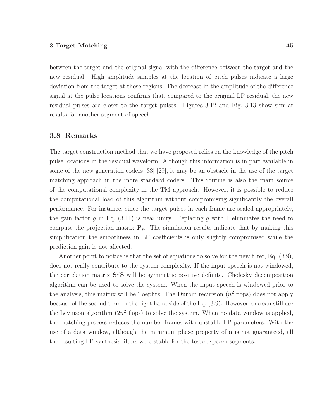between the target and the original signal with the difference between the target and the new residual. High amplitude samples at the location of pitch pulses indicate a large deviation from the target at those regions. The decrease in the amplitude of the difference signal at the pulse locations confirms that, compared to the original LP residual, the new residual pulses are closer to the target pulses. Figures 3.12 and Fig. 3.13 show similar results for another segment of speech.

#### **3.8 Remarks**

The target construction method that we have proposed relies on the knowledge of the pitch pulse locations in the residual waveform. Although this information is in part available in some of the new generation coders [33] [29], it may be an obstacle in the use of the target matching approach in the more standard coders. This routine is also the main source of the computational complexity in the TM approach. However, it is possible to reduce the computational load of this algorithm without compromising significantly the overall performance. For instance, since the target pulses in each frame are scaled appropriately, the gain factor g in Eq.  $(3.11)$  is near unity. Replacing g with 1 eliminates the need to compute the projection matrix  $P_s$ . The simulation results indicate that by making this simplification the smoothness in LP coefficients is only slightly compromised while the prediction gain is not affected.

Another point to notice is that the set of equations to solve for the new filter, Eq. (3.9), does not really contribute to the system complexity. If the input speech is not windowed, the correlation matrix  $S^T S$  will be symmetric positive definite. Cholesky decomposition algorithm can be used to solve the system. When the input speech is windowed prior to the analysis, this matrix will be Toeplitz. The Durbin recursion  $(n^2)$  flops) does not apply because of the second term in the right hand side of the Eq. (3.9). However, one can still use the Levinson algorithm  $(2n^2)$  flops) to solve the system. When no data window is applied, the matching process reduces the number frames with unstable LP parameters. With the use of a data window, although the minimum phase property of **a** is not guaranteed, all the resulting LP synthesis filters were stable for the tested speech segments.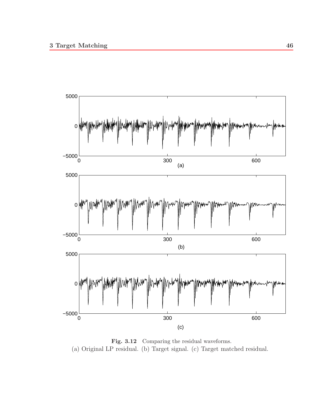

Fig. 3.12 Comparing the residual waveforms. (a) Original LP residual. (b) Target signal. (c) Target matched residual.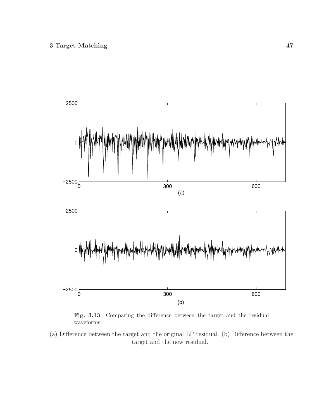

**Fig. 3.13** Comparing the difference between the target and the residual waveforms.

(a) Difference between the target and the original LP residual. (b) Difference between the target and the new residual.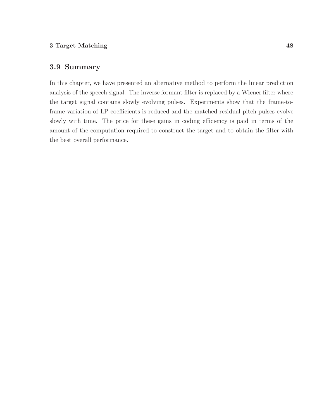## **3.9 Summary**

In this chapter, we have presented an alternative method to perform the linear prediction analysis of the speech signal. The inverse formant filter is replaced by a Wiener filter where the target signal contains slowly evolving pulses. Experiments show that the frame-toframe variation of LP coefficients is reduced and the matched residual pitch pulses evolve slowly with time. The price for these gains in coding efficiency is paid in terms of the amount of the computation required to construct the target and to obtain the filter with the best overall performance.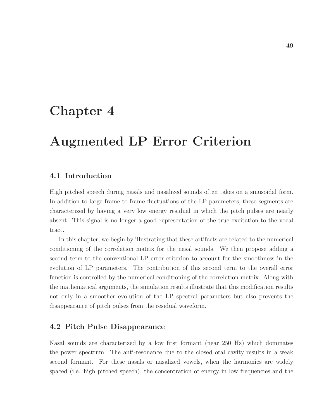## **Chapter 4**

# **Augmented LP Error Criterion**

## **4.1 Introduction**

High pitched speech during nasals and nasalized sounds often takes on a sinusoidal form. In addition to large frame-to-frame fluctuations of the LP parameters, these segments are characterized by having a very low energy residual in which the pitch pulses are nearly absent. This signal is no longer a good representation of the true excitation to the vocal tract.

In this chapter, we begin by illustrating that these artifacts are related to the numerical conditioning of the correlation matrix for the nasal sounds. We then propose adding a second term to the conventional LP error criterion to account for the smoothness in the evolution of LP parameters. The contribution of this second term to the overall error function is controlled by the numerical conditioning of the correlation matrix. Along with the mathematical arguments, the simulation results illustrate that this modification results not only in a smoother evolution of the LP spectral parameters but also prevents the disappearance of pitch pulses from the residual waveform.

## **4.2 Pitch Pulse Disappearance**

Nasal sounds are characterized by a low first formant (near 250 Hz) which dominates the power spectrum. The anti-resonance due to the closed oral cavity results in a weak second formant. For these nasals or nasalized vowels, when the harmonics are widely spaced (i.e. high pitched speech), the concentration of energy in low frequencies and the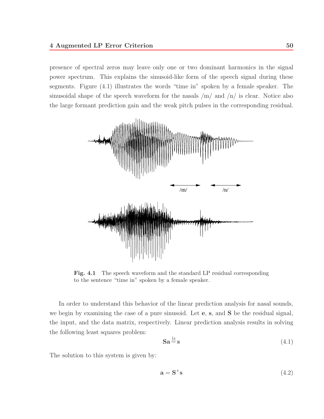presence of spectral zeros may leave only one or two dominant harmonics in the signal power spectrum. This explains the sinusoid-like form of the speech signal during these segments. Figure (4.1) illustrates the words "time in" spoken by a female speaker. The sinusoidal shape of the speech waveform for the nasals  $/m/$  and  $/n/$  is clear. Notice also the large formant prediction gain and the weak pitch pulses in the corresponding residual.



Fig. 4.1 The speech waveform and the standard LP residual corresponding to the sentence "time in" spoken by a female speaker.

In order to understand this behavior of the linear prediction analysis for nasal sounds, we begin by examining the case of a pure sinusoid. Let **e**, **s**, and **S** be the residual signal, the input, and the data matrix, respectively. Linear prediction analysis results in solving the following least squares problem:

$$
\mathbf{Sa} \stackrel{ls}{=} \mathbf{s} \tag{4.1}
$$

The solution to this system is given by:

$$
\mathbf{a} = \mathbf{S}^+ \mathbf{s} \tag{4.2}
$$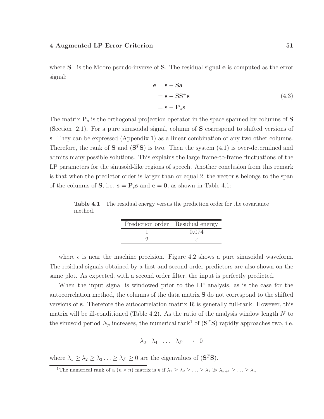where **S**<sup>+</sup> is the Moore pseudo-inverse of **S**. The residual signal **e** is computed as the error signal:

$$
e = s - Sa
$$
  
= s - SS<sup>+</sup>s  
= s - P<sub>s</sub>s (4.3)

The matrix **P**<sup>s</sup> is the orthogonal projection operator in the space spanned by columns of **S** (Section 2.1). For a pure sinusoidal signal, column of **S** correspond to shifted versions of **s**. They can be expressed (Appendix 1) as a linear combination of any two other columns. Therefore, the rank of **S** and  $(S<sup>T</sup>S)$  is two. Then the system  $(4.1)$  is over-determined and admits many possible solutions. This explains the large frame-to-frame fluctuations of the LP parameters for the sinusoid-like regions of speech. Another conclusion from this remark is that when the predictor order is larger than or equal 2, the vector **s** belongs to the span of the columns of **S**, i.e.  $\mathbf{s} = \mathbf{P}_s \mathbf{s}$  and  $\mathbf{e} = \mathbf{0}$ , as shown in Table 4.1:

**Table 4.1** The residual energy versus the prediction order for the covariance method.

| Prediction order Residual energy |       |
|----------------------------------|-------|
|                                  | 0.074 |
|                                  |       |

where  $\epsilon$  is near the machine precision. Figure 4.2 shows a pure sinusoidal waveform. The residual signals obtained by a first and second order predictors are also shown on the same plot. As expected, with a second order filter, the input is perfectly predicted.

When the input signal is windowed prior to the LP analysis, as is the case for the autocorrelation method, the columns of the data matrix **S** do not correspond to the shifted versions of **s**. Therefore the autocorrelation matrix **R** is generally full-rank. However, this matrix will be ill-conditioned (Table 4.2). As the ratio of the analysis window length  $N$  to the sinusoid period  $N_p$  increases, the numerical rank<sup>1</sup> of  $({\bf S}^T{\bf S})$  rapidly approaches two, i.e.

$$
\lambda_3 \lambda_4 \ldots \lambda_P \rightarrow 0
$$

where  $\lambda_1 \geq \lambda_2 \geq \lambda_3 \ldots \geq \lambda_P \geq 0$  are the eigenvalues of  $(\mathbf{S}^T \mathbf{S})$ .

<sup>&</sup>lt;sup>1</sup>The numerical rank of a  $(n \times n)$  matrix is k if  $\lambda_1 \geq \lambda_2 \geq \ldots \geq \lambda_k \gg \lambda_{k+1} \geq \ldots \geq \lambda_n$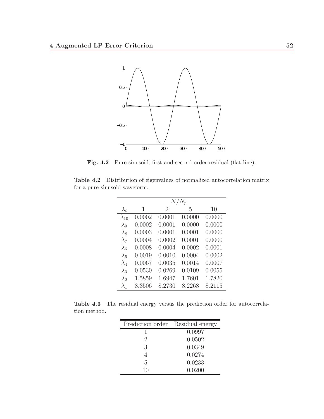

Fig. 4.2 Pure sinusoid, first and second order residual (flat line).

**Table 4.2** Distribution of eigenvalues of normalized autocorrelation matrix for a pure sinusoid waveform.

|                |        |        | $N/N_p$ |        |
|----------------|--------|--------|---------|--------|
| $\lambda_i$    | 1      | 2      | 5       | 10     |
| $\lambda_{10}$ | 0.0002 | 0.0001 | 0.0000  | 0.0000 |
| $\lambda_9$    | 0.0002 | 0.0001 | 0.0000  | 0.0000 |
| $\lambda_8$    | 0.0003 | 0.0001 | 0.0001  | 0.0000 |
| $\lambda_7$    | 0.0004 | 0.0002 | 0.0001  | 0.0000 |
| $\lambda_6$    | 0.0008 | 0.0004 | 0.0002  | 0.0001 |
| $\lambda_5$    | 0.0019 | 0.0010 | 0.0004  | 0.0002 |
| $\lambda_4$    | 0.0067 | 0.0035 | 0.0014  | 0.0007 |
| $\lambda_3$    | 0.0530 | 0.0269 | 0.0109  | 0.0055 |
| $\lambda_2$    | 1.5859 | 1.6947 | 1.7601  | 1.7820 |
| $\lambda_1$    | 8.3506 | 8.2730 | 8.2268  | 8.2115 |

**Table 4.3** The residual energy versus the prediction order for autocorrelation method.

| Prediction order Residual energy |        |
|----------------------------------|--------|
|                                  | 0.0997 |
| $\mathcal{D}_{\mathcal{A}}$      | 0.0502 |
| 3                                | 0.0349 |
|                                  | 0.0274 |
| 5                                | 0.0233 |
| 10                               | 0.0200 |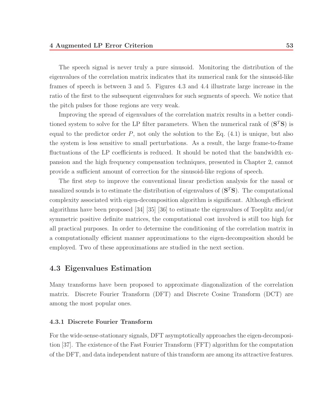The speech signal is never truly a pure sinusoid. Monitoring the distribution of the eigenvalues of the correlation matrix indicates that its numerical rank for the sinusoid-like frames of speech is between 3 and 5. Figures 4.3 and 4.4 illustrate large increase in the ratio of the first to the subsequent eigenvalues for such segments of speech. We notice that the pitch pulses for those regions are very weak.

Improving the spread of eigenvalues of the correlation matrix results in a better conditioned system to solve for the LP filter parameters. When the numerical rank of  $(S<sup>T</sup>S)$  is equal to the predictor order  $P$ , not only the solution to the Eq.  $(4.1)$  is unique, but also the system is less sensitive to small perturbations. As a result, the large frame-to-frame fluctuations of the LP coefficients is reduced. It should be noted that the bandwidth expansion and the high frequency compensation techniques, presented in Chapter 2, cannot provide a sufficient amount of correction for the sinusoid-like regions of speech.

The first step to improve the conventional linear prediction analysis for the nasal or nasalized sounds is to estimate the distribution of eigenvalues of (**S**<sup>T</sup>**S**). The computational complexity associated with eigen-decomposition algorithm is significant. Although efficient algorithms have been proposed [34] [35] [36] to estimate the eigenvalues of Toeplitz and/or symmetric positive definite matrices, the computational cost involved is still too high for all practical purposes. In order to determine the conditioning of the correlation matrix in a computationally efficient manner approximations to the eigen-decomposition should be employed. Two of these approximations are studied in the next section.

### **4.3 Eigenvalues Estimation**

Many transforms have been proposed to approximate diagonalization of the correlation matrix. Discrete Fourier Transform (DFT) and Discrete Cosine Transform (DCT) are among the most popular ones.

#### **4.3.1 Discrete Fourier Transform**

For the wide-sense-stationary signals, DFT asymptotically approaches the eigen-decomposition [37]. The existence of the Fast Fourier Transform (FFT) algorithm for the computation of the DFT, and data independent nature of this transform are among its attractive features.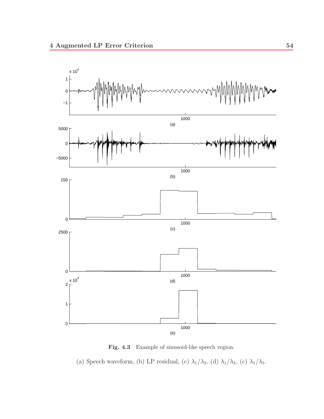

Fig. 4.3 Example of sinusoid-like speech region.

(a) Speech waveform, (b) LP residual, (c)  $\lambda_1/\lambda_3,$  (d)  $\lambda_1/\lambda_4,$  (c)  $\lambda_1/\lambda_5.$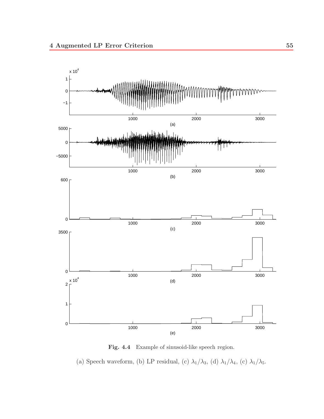

**Fig. 4.4** Example of sinusoid-like speech region.

(a) Speech waveform, (b) LP residual, (c)  $\lambda_1/\lambda_3,$  (d)  $\lambda_1/\lambda_4,$  (c)  $\lambda_1/\lambda_5.$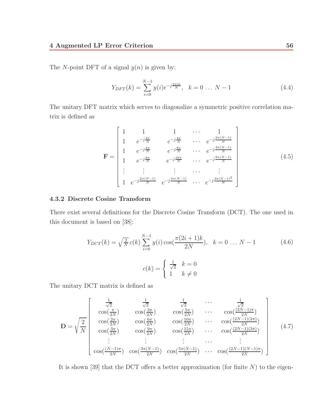The N-point DFT of a signal  $y(n)$  is given by:

$$
Y_{DFT}(k) = \sum_{i=0}^{N-1} y(i)e^{-j\frac{2\pi ik}{N}}, \quad k = 0 \dots N-1
$$
 (4.4)

The unitary DFT matrix which serves to diagonalize a symmetric positive correlation matrix is defined as

$$
\mathbf{F} = \begin{bmatrix} 1 & 1 & 1 & \cdots & 1 \\ 1 & e^{-j\frac{2\pi}{N}} & e^{-j\frac{4\pi}{N}} & \cdots & e^{-j\frac{2\pi(N-1)}{N}} \\ 1 & e^{-j\frac{4\pi}{N}} & e^{-j\frac{8\pi}{N}} & \cdots & e^{-j\frac{4\pi(N-1)}{N}} \\ 1 & e^{-j\frac{8\pi}{N}} & e^{-j\frac{16\pi}{N}} & \cdots & e^{-j\frac{8\pi(N-1)}{N}} \\ \vdots & \vdots & \vdots & \cdots & \vdots \\ 1 & e^{-j\frac{2\pi(N-1)}{N}} & e^{-j\frac{4\pi(N-1)}{N}} & \cdots & e^{-j\frac{2\pi(N-1)^2}{N}} \end{bmatrix}
$$
(4.5)

#### **4.3.2 Discrete Cosine Transform**

There exist several definitions for the Discrete Cosine Transform (DCT). The one used in this document is based on [38]:

$$
Y_{DCT}(k) = \sqrt{\frac{2}{N}} c(k) \sum_{i=0}^{N-1} y(i) \cos(\frac{\pi(2i+1)k}{2N}), \quad k = 0 \dots N-1
$$
 (4.6)  

$$
c(k) = \begin{cases} \frac{1}{\sqrt{2}} & k = 0\\ 1 & k \neq 0 \end{cases}
$$

The unitary DCT matrix is defined as

$$
\mathbf{D} = \sqrt{\frac{2}{N}} \begin{bmatrix} \frac{1}{\sqrt{2}} & \frac{1}{\sqrt{2}} & \frac{1}{\sqrt{2}} & \cdots & \frac{1}{\sqrt{2}} \\ \cos(\frac{\pi}{2N}) & \cos(\frac{3\pi}{2N}) & \cos(\frac{5\pi}{2N}) & \cdots & \cos(\frac{(2N-1)\pi}{2N}) \\ \cos(\frac{2\pi}{2N}) & \cos(\frac{6\pi}{2N}) & \cos(\frac{10\pi}{2N}) & \cdots & \cos(\frac{(2N-1)(2\pi)}{2N}) \\ \vdots & \vdots & \vdots & \ddots & \vdots \\ \cos(\frac{(N-1)\pi}{2N}) & \cos(\frac{3\pi(N-1)}{2N}) & \cos(\frac{5\pi(N-1)}{2N}) & \cdots & \cos(\frac{(2N-1)(N-1)\pi}{2N}) \end{bmatrix}
$$
(4.7)

It is shown [39] that the DCT offers a better approximation (for finite  $N$ ) to the eigen-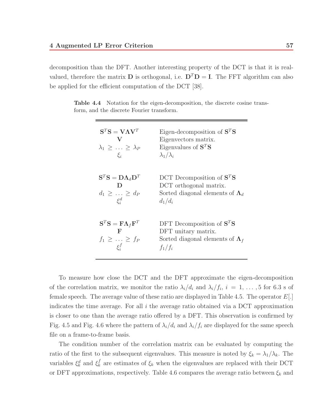decomposition than the DFT. Another interesting property of the DCT is that it is realvalued, therefore the matrix **D** is orthogonal, i.e.  $D^T D = I$ . The FFT algorithm can also be applied for the efficient computation of the DCT [38].

**Table 4.4** Notation for the eigen-decomposition, the discrete cosine transform, and the discrete Fourier transform.

| $S^{T}S = V\Lambda V^{T}$<br>$\mathbf{V}$<br>$\lambda_1 \geq \ldots \geq \lambda_P$<br>$\mathcal{E}_i$ | Eigen-decomposition of $STS$<br>Eigenvectors matrix.<br>Eigenvalues of $S^T S$<br>$\lambda_1/\lambda_i$      |
|--------------------------------------------------------------------------------------------------------|--------------------------------------------------------------------------------------------------------------|
| $S^T S = D \Lambda_d D^T$<br>$\mathbf{D}$<br>$d_1 \geq \ldots \geq d_P$<br>$\xi_i^d$                   | DCT Decomposition of $STS$<br>DCT orthogonal matrix.<br>Sorted diagonal elements of $\Lambda_d$<br>$d_1/d_i$ |
| $S^T S = F \Lambda_f F^T$<br>$\mathbf{F}$<br>$f_1 \geq \ldots \geq f_P$<br>$\xi_i^f$                   | DFT Decomposition of $STS$<br>DFT unitary matrix.<br>Sorted diagonal elements of $\Lambda_f$<br>$f_1/f_i$    |

To measure how close the DCT and the DFT approximate the eigen-decomposition of the correlation matrix, we monitor the ratio  $\lambda_i/d_i$  and  $\lambda_i/f_i$ ,  $i = 1, \ldots, 5$  for 6.3 s of female speech. The average value of these ratio are displayed in Table 4.5. The operator  $E[.]$ indicates the time average. For all  $i$  the average ratio obtained via a DCT approximation is closer to one than the average ratio offered by a DFT. This observation is confirmed by Fig. 4.5 and Fig. 4.6 where the pattern of  $\lambda_i/d_i$  and  $\lambda_i/f_i$  are displayed for the same speech file on a frame-to-frame basis.

The condition number of the correlation matrix can be evaluated by computing the ratio of the first to the subsequent eigenvalues. This measure is noted by  $\xi_k = \lambda_1/\lambda_k$ . The variables  $\xi_k^d$  and  $\xi_k^f$  are estimates of  $\xi_k$  when the eigenvalues are replaced with their DCT or DFT approximations, respectively. Table 4.6 compares the average ratio between  $\xi_k$  and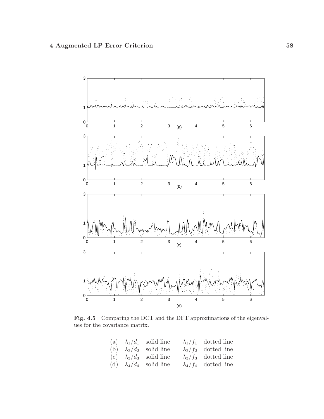

Fig. 4.5 Comparing the DCT and the DFT approximations of the eigenvalues for the covariance matrix.

|  | (a) $\lambda_1/d_1$ solid line | $\lambda_1/f_1$ dotted line |
|--|--------------------------------|-----------------------------|
|  | (b) $\lambda_2/d_2$ solid line | $\lambda_2/f_2$ dotted line |
|  | (c) $\lambda_3/d_3$ solid line | $\lambda_3/f_3$ dotted line |
|  | (d) $\lambda_4/d_4$ solid line | $\lambda_4/f_4$ dotted line |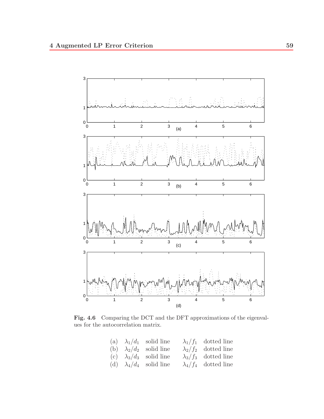

**Fig. 4.6** Comparing the DCT and the DFT approximations of the eigenvalues for the autocorrelation matrix.

|  | (a) $\lambda_1/d_1$ solid line | $\lambda_1/f_1$ dotted line |
|--|--------------------------------|-----------------------------|
|  | (b) $\lambda_2/d_2$ solid line | $\lambda_2/f_2$ dotted line |
|  | (c) $\lambda_3/d_3$ solid line | $\lambda_3/f_3$ dotted line |
|  | (d) $\lambda_4/d_4$ solid line | $\lambda_4/f_4$ dotted line |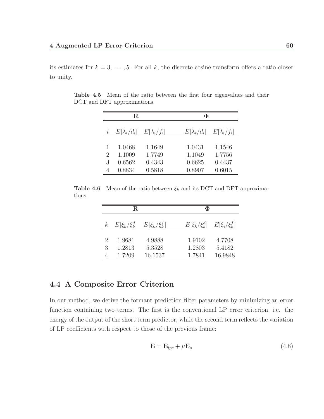its estimates for  $k = 3, \ldots, 5$ . For all k, the discrete cosine transform offers a ratio closer to unity.

|   | $_{\rm R}$                            |        | Ф                                        |
|---|---------------------------------------|--------|------------------------------------------|
|   | $E[\lambda_i/d_i]$ $E[\lambda_i/f_i]$ |        | $E[\lambda_i/f_i]$<br>$E[\lambda_i/d_i]$ |
| 1 | 1.0468                                | 1.1649 | 1.0431<br>1.1546                         |
| 2 | 1.1009                                | 1.7749 | 1.7756<br>1.1049                         |
| 3 | 0.6562                                | 0.4343 | 0.6625<br>0.4437                         |
|   | 0.8834                                | 0.5818 | 0.8907<br>0.6015                         |

**Table 4.5** Mean of the ratio between the first four eigenvalues and their DCT and DFT approximations.

**Table 4.6** Mean of the ratio between  $\xi_k$  and its DCT and DFT approximations.

|                                  | R.                                    |                             | Ф                                                         |
|----------------------------------|---------------------------------------|-----------------------------|-----------------------------------------------------------|
| $\boldsymbol{k}$                 | $E[\xi_k/\xi_k^d]$ $E[\xi_k/\xi_k^f]$ |                             | $E[\xi_k/\xi_k^d]$<br>$E[\xi_i/\xi_k^f]$                  |
| $\mathcal{D}_{\mathcal{L}}$<br>3 | 1.9681<br>1.2813<br>1.7209            | 4.9888<br>5.3528<br>16.1537 | 1.9102<br>4.7708<br>1.2803<br>5.4182<br>16.9848<br>1.7841 |

## **4.4 A Composite Error Criterion**

In our method, we derive the formant prediction filter parameters by minimizing an error function containing two terms. The first is the conventional LP error criterion, i.e. the energy of the output of the short term predictor, while the second term reflects the variation of LP coefficients with respect to those of the previous frame:

$$
\mathbf{E} = \mathbf{E}_{lpc} + \mu \mathbf{E}_a \tag{4.8}
$$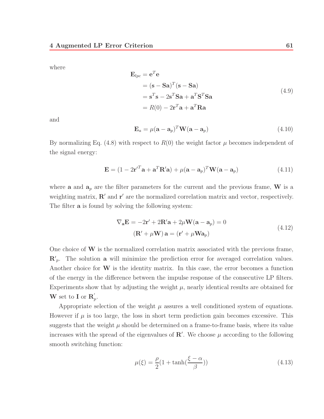where

$$
\mathbf{E}_{lpc} = \mathbf{e}^T \mathbf{e}
$$
  
=  $(\mathbf{s} - \mathbf{S}\mathbf{a})^T (\mathbf{s} - \mathbf{S}\mathbf{a})$   
=  $\mathbf{s}^T \mathbf{s} - 2\mathbf{s}^T \mathbf{S}\mathbf{a} + \mathbf{a}^T \mathbf{S}^T \mathbf{S}\mathbf{a}$   
=  $R(0) - 2\mathbf{r}^T \mathbf{a} + \mathbf{a}^T \mathbf{R}\mathbf{a}$  (4.9)

and

$$
\mathbf{E}_a = \mu(\mathbf{a} - \mathbf{a}_p)^T \mathbf{W}(\mathbf{a} - \mathbf{a}_p)
$$
 (4.10)

By normalizing Eq. (4.8) with respect to  $R(0)$  the weight factor  $\mu$  becomes independent of the signal energy:

$$
\mathbf{E} = (1 - 2\mathbf{r}'^T \mathbf{a} + \mathbf{a}^T \mathbf{R}' \mathbf{a}) + \mu (\mathbf{a} - \mathbf{a}_p)^T \mathbf{W} (\mathbf{a} - \mathbf{a}_p)
$$
(4.11)

where **a** and  $a_p$  are the filter parameters for the current and the previous frame, **W** is a weighting matrix,  $\mathbf{R}'$  and  $\mathbf{r}'$  are the normalized correlation matrix and vector, respectively. The filter **a** is found by solving the following system:

$$
\nabla_{\mathbf{a}} \mathbf{E} = -2\mathbf{r}' + 2\mathbf{R}'\mathbf{a} + 2\mu \mathbf{W}(\mathbf{a} - \mathbf{a}_p) = 0
$$
  
( $\mathbf{R}' + \mu \mathbf{W}$ )  $\mathbf{a} = (\mathbf{r}' + \mu \mathbf{W} \mathbf{a}_p)$  (4.12)

One choice of **W** is the normalized correlation matrix associated with the previous frame,  $\mathbb{R}'_p$ . The solution **a** will minimize the prediction error for averaged correlation values. Another choice for **W** is the identity matrix. In this case, the error becomes a function of the energy in the difference between the impulse response of the consecutive LP filters. Experiments show that by adjusting the weight  $\mu$ , nearly identical results are obtained for **W** set to **I** or  $\mathbf{R}'_p$ .

Appropriate selection of the weight  $\mu$  assures a well conditioned system of equations. However if  $\mu$  is too large, the loss in short term prediction gain becomes excessive. This suggests that the weight  $\mu$  should be determined on a frame-to-frame basis, where its value increases with the spread of the eigenvalues of  $\mathbb{R}'$ . We choose  $\mu$  according to the following smooth switching function:

$$
\mu(\xi) = \frac{\rho}{2}(1 + \tanh(\frac{\xi - \alpha}{\beta}))\tag{4.13}
$$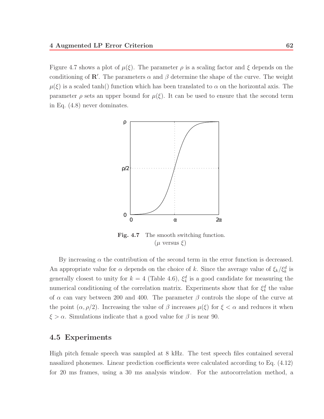Figure 4.7 shows a plot of  $\mu(\xi)$ . The parameter  $\rho$  is a scaling factor and  $\xi$  depends on the conditioning of **R**'. The parameters  $\alpha$  and  $\beta$  determine the shape of the curve. The weight  $\mu(\xi)$  is a scaled tanh() function which has been translated to  $\alpha$  on the horizontal axis. The parameter  $\rho$  sets an upper bound for  $\mu(\xi)$ . It can be used to ensure that the second term in Eq. (4.8) never dominates.



Fig. 4.7 The smooth switching function.  $(\mu$  versus  $\xi)$ 

By increasing  $\alpha$  the contribution of the second term in the error function is decreased. An appropriate value for  $\alpha$  depends on the choice of k. Since the average value of  $\xi_k/\xi_k^d$  is generally closest to unity for  $k = 4$  (Table 4.6),  $\xi_4^d$  is a good candidate for measuring the numerical conditioning of the correlation matrix. Experiments show that for  $\xi_4^d$  the value of  $\alpha$  can vary between 200 and 400. The parameter  $\beta$  controls the slope of the curve at the point  $(\alpha, \rho/2)$ . Increasing the value of  $\beta$  increases  $\mu(\xi)$  for  $\xi < \alpha$  and reduces it when  $\xi > \alpha$ . Simulations indicate that a good value for  $\beta$  is near 90.

### **4.5 Experiments**

High pitch female speech was sampled at 8 kHz. The test speech files contained several nasalized phonemes. Linear prediction coefficients were calculated according to Eq. (4.12) for 20 ms frames, using a 30 ms analysis window. For the autocorrelation method, a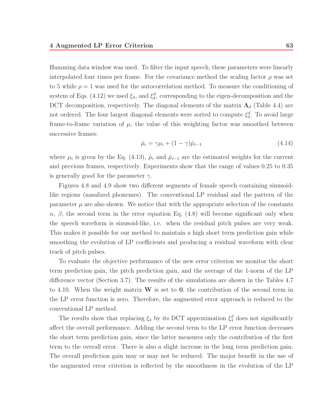Hamming data window was used. To filter the input speech, these parameters were linearly interpolated four times per frame. For the covariance method the scaling factor  $\rho$  was set to 5 while  $\rho = 1$  was used for the autocorrelation method. To measure the conditioning of system of Eqs. (4.12) we used  $\xi_4$ , and  $\xi_4^d$ , corresponding to the eigen-decomposition and the DCT decomposition, respectively. The diagonal elements of the matrix  $\Lambda_d$  (Table 4.4) are not ordered. The four largest diagonal elements were sorted to compute  $\xi_4^d$ . To avoid large frame-to-frame variation of  $\mu$ , the value of this weighting factor was smoothed between successive frames:

$$
\hat{\mu}_i = \gamma \mu_i + (1 - \gamma)\hat{\mu}_{i-1} \tag{4.14}
$$

where  $\mu_i$  is given by the Eq. (4.13),  $\hat{\mu}_i$  and  $\hat{\mu}_{i-1}$  are the estimated weights for the current and previous frames, respectively. Experiments show that the range of values 0.25 to 0.35 is generally good for the parameter  $\gamma$ .

Figures 4.8 and 4.9 show two different segments of female speech containing sinusoidlike regions (nasalized phonemes). The conventional LP residual and the pattern of the parameter  $\mu$  are also shown. We notice that with the appropriate selection of the constants  $\alpha$ ,  $\beta$ , the second term in the error equation Eq. (4.8) will become significant only when the speech waveform is sinusoid-like, i.e. when the residual pitch pulses are very weak. This makes it possible for our method to maintain a high short term prediction gain while smoothing the evolution of LP coefficients and producing a residual waveform with clear track of pitch pulses.

To evaluate the objective performance of the new error criterion we monitor the short term prediction gain, the pitch prediction gain, and the average of the 1-norm of the LP difference vector (Section 3.7). The results of the simulations are shown in the Tables 4.7 to 4.10. When the weight matrix **W** is set to **0**, the contribution of the second term in the LP error function is zero. Therefore, the augmented error approach is reduced to the conventional LP method.

The results show that replacing  $\xi_4$  by its DCT approximation  $\xi_4^d$  does not significantly affect the overall performance. Adding the second term to the LP error function decreases the short term prediction gain, since the latter measures only the contribution of the first term to the overall error. There is also a slight increase in the long term prediction gain. The overall prediction gain may or may not be reduced. The major benefit in the use of the augmented error criterion is reflected by the smoothness in the evolution of the LP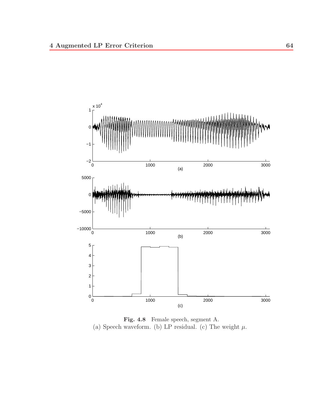

**Fig. 4.8** Female speech, segment A. (a) Speech waveform. (b) LP residual. (c) The weight  $\mu$ .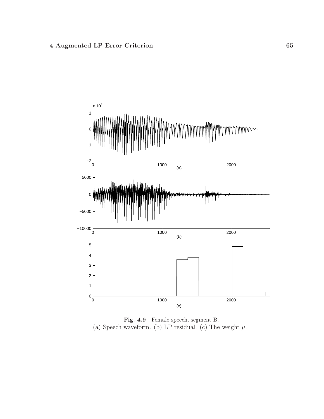

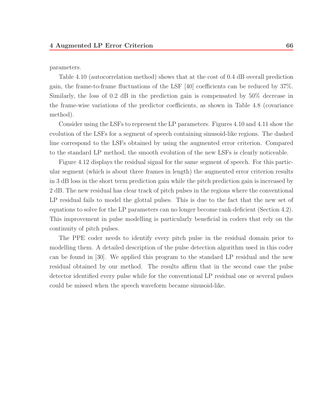parameters.

Table 4.10 (autocorrelation method) shows that at the cost of 0.4 dB overall prediction gain, the frame-to-frame fluctuations of the LSF [40] coefficients can be reduced by 37%. Similarly, the loss of 0.2 dB in the prediction gain is compensated by 50% decrease in the frame-wise variations of the predictor coefficients, as shown in Table 4.8 (covariance method).

Consider using the LSFs to represent the LP parameters. Figures 4.10 and 4.11 show the evolution of the LSFs for a segment of speech containing sinusoid-like regions. The dashed line correspond to the LSFs obtained by using the augmented error criterion. Compared to the standard LP method, the smooth evolution of the new LSFs is clearly noticeable.

Figure 4.12 displays the residual signal for the same segment of speech. For this particular segment (which is about three frames in length) the augmented error criterion results in 3 dB loss in the short term prediction gain while the pitch prediction gain is increased by 2 dB. The new residual has clear track of pitch pulses in the regions where the conventional LP residual fails to model the glottal pulses. This is due to the fact that the new set of equations to solve for the LP parameters can no longer become rank-deficient (Section 4.2). This improvement in pulse modelling is particularly beneficial in coders that rely on the continuity of pitch pulses.

The PPE coder needs to identify every pitch pulse in the residual domain prior to modelling them. A detailed description of the pulse detection algorithm used in this coder can be found in [30]. We applied this program to the standard LP residual and the new residual obtained by our method. The results affirm that in the second case the pulse detector identified every pulse while for the conventional LP residual one or several pulses could be missed when the speech waveform became sinusoid-like.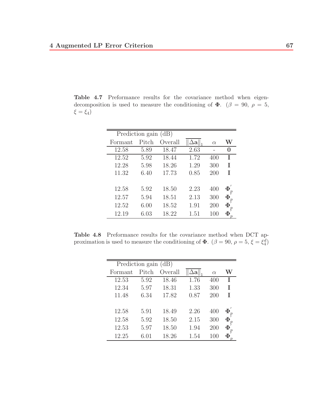**Table 4.7** Preformance results for the covariance method when eigendecomposition is used to measure the conditioning of  $\Phi$ . ( $\beta = 90$ ,  $\rho = 5$ ,  $\xi = \xi_4$ )

| Prediction gain (dB) |       |         |      |          |        |
|----------------------|-------|---------|------|----------|--------|
| Formant              | Pitch | Overall |      | $\alpha$ | W      |
| 12.58                | 5.89  | 18.47   | 2.63 |          | 0      |
| 12.52                | 5.92  | 18.44   | 1.72 | 400      | T      |
| 12.28                | 5.98  | 18.26   | 1.29 | 300      | T      |
| 11.32                | 6.40  | 17.73   | 0.85 | 200      | T      |
|                      |       |         |      |          |        |
| 12.58                | 5.92  | 18.50   | 2.23 | 400      | $\Phi$ |
| 12.57                | 5.94  | 18.51   | 2.13 | 300      | $\Phi$ |
| 12.52                | 6.00  | 18.52   | 1.91 | 200      | $\Phi$ |
| 12.19                | 6.03  | 18.22   | 1.51 | 100      | $\Phi$ |

**Table 4.8** Preformance results for the covariance method when DCT approximation is used to measure the conditioning of  $\Phi$ . ( $\beta = 90$ ,  $\rho = 5$ ,  $\xi = \xi_4^d$ )

| Prediction gain (dB) |       |         |                      |          |        |
|----------------------|-------|---------|----------------------|----------|--------|
| Formant              | Pitch | Overall | $\mathbf{\Omega} \ $ | $\alpha$ | W      |
| 12.53                | 5.92  | 18.46   | 1.76                 | 400      | Т      |
| 12.34                | 5.97  | 18.31   | 1.33                 | 300      | Ι      |
| 11.48                | 6.34  | 17.82   | 0.87                 | 200      | T      |
|                      |       |         |                      |          |        |
| 12.58                | 5.91  | 18.49   | 2.26                 | 400      | $\Phi$ |
| 12.58                | 5.92  | 18.50   | 2.15                 | 300      | $\Phi$ |
| 12.53                | 5.97  | 18.50   | 1.94                 | 200      | $\Phi$ |
| 12.25                | 6.01  | 18.26   | 1.54                 | 100      | $\Phi$ |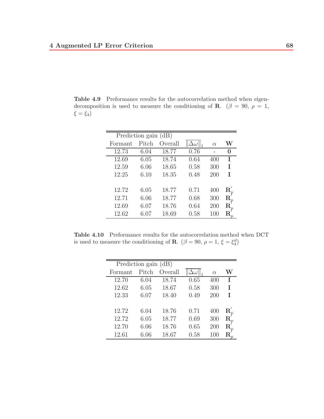**Table 4.9** Preformance results for the autocorrelation method when eigendecomposition is used to measure the conditioning of **R**. ( $\beta = 90$ ,  $\rho = 1$ ,  $\xi = \xi_4$ )

| Prediction gain (dB) |       |         |                    |          |                          |
|----------------------|-------|---------|--------------------|----------|--------------------------|
| Formant              | Pitch | Overall | $\Delta\omega\ _1$ | $\alpha$ | W                        |
| 12.73                | 6.04  | 18.77   | 0.76               |          | 0                        |
| 12.69                | 6.05  | 18.74   | 0.64               | 400      | T                        |
| 12.59                | 6.06  | 18.65   | 0.58               | 300      | T                        |
| 12.25                | 6.10  | 18.35   | 0.48               | 200      | T                        |
|                      |       |         |                    |          |                          |
| 12.72                | 6.05  | 18.77   | 0.71               | 400      | $\mathbf{R}^{'}_{\cdot}$ |
| 12.71                | 6.06  | 18.77   | 0.68               | 300      | $\rm R$                  |
| 12.69                | 6.07  | 18.76   | 0.64               | 200      | $_{\rm R}$               |
| 12.62                | 6.07  | 18.69   | 0.58               | 100      | R                        |

**Table 4.10** Preformance results for the autocorrelation method when DCT is used to measure the conditioning of **R**.  $(\beta = 90, \rho = 1, \xi = \xi_4^d)$ 

| Prediction gain (dB) |       |         |      |          |                         |
|----------------------|-------|---------|------|----------|-------------------------|
| Formant              | Pitch | Overall |      | $\alpha$ | W                       |
| 12.70                | 6.04  | 18.74   | 0.65 | 400      | Τ                       |
| 12.62                | 6.05  | 18.67   | 0.58 | 300      | T                       |
| 12.33                | 6.07  | 18.40   | 0.49 | 200      | T                       |
|                      |       |         |      |          |                         |
| 12.72                | 6.04  | 18.76   | 0.71 | 400      | $\mathbf{R}^{'}_{\ast}$ |
| 12.72                | 6.05  | 18.77   | 0.69 | 300      | $\mathbf R$             |
| 12.70                | 6.06  | 18.76   | 0.65 | 200      | $_{\rm R}$              |
| 12.61                | 6.06  | 18.67   | 0.58 | 100      |                         |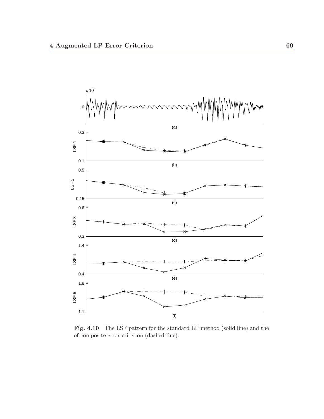

Fig. 4.10 The LSF pattern for the standard LP method (solid line) and the of composite error criterion (dashed line).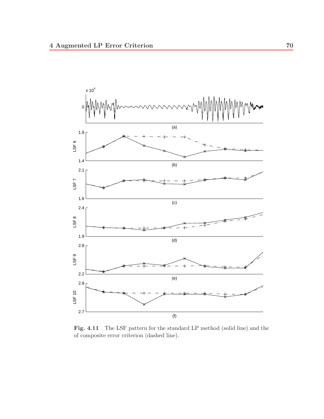

Fig. 4.11 The LSF pattern for the standard LP method (solid line) and the of composite error criterion (dashed line).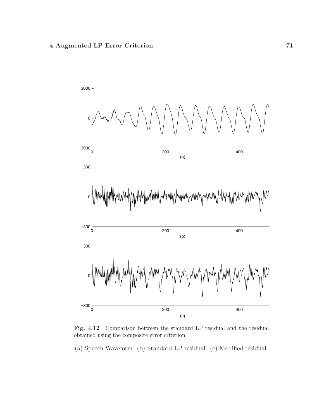

**Fig. 4.12** Comparison between the standard LP residual and the residual obtained using the composite error criterion.

(a) Speech Waveform. (b) Standard LP residual. (c) Modified residual.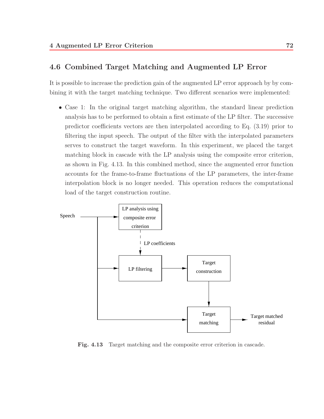### **4.6 Combined Target Matching and Augmented LP Error**

It is possible to increase the prediction gain of the augmented LP error approach by by combining it with the target matching technique. Two different scenarios were implemented:

• Case 1: In the original target matching algorithm, the standard linear prediction analysis has to be performed to obtain a first estimate of the LP filter. The successive predictor coefficients vectors are then interpolated according to Eq. (3.19) prior to filtering the input speech. The output of the filter with the interpolated parameters serves to construct the target waveform. In this experiment, we placed the target matching block in cascade with the LP analysis using the composite error criterion, as shown in Fig. 4.13. In this combined method, since the augmented error function accounts for the frame-to-frame fluctuations of the LP parameters, the inter-frame interpolation block is no longer needed. This operation reduces the computational load of the target construction routine.



**Fig. 4.13** Target matching and the composite error criterion in cascade.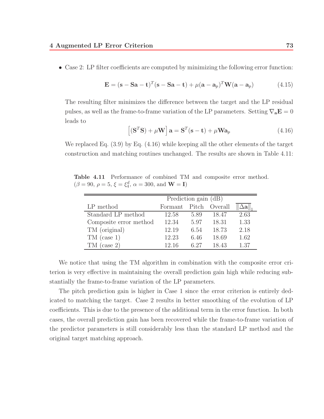• Case 2: LP filter coefficients are computed by minimizing the following error function:

$$
\mathbf{E} = (\mathbf{s} - \mathbf{S}\mathbf{a} - \mathbf{t})^T (\mathbf{s} - \mathbf{S}\mathbf{a} - \mathbf{t}) + \mu (\mathbf{a} - \mathbf{a}_p)^T \mathbf{W} (\mathbf{a} - \mathbf{a}_p)
$$
(4.15)

The resulting filter minimizes the difference between the target and the LP residual pulses, as well as the frame-to-frame variation of the LP parameters. Setting ∇**aE** = 0 leads to

$$
\left[ \left( \mathbf{S}^{T} \mathbf{S} \right) + \mu \mathbf{W} \right] \mathbf{a} = \mathbf{S}^{T} (\mathbf{s} - \mathbf{t}) + \mu \mathbf{W} \mathbf{a}_{p}
$$
\n(4.16)

We replaced Eq. (3.9) by Eq. (4.16) while keeping all the other elements of the target construction and matching routines unchanged. The results are shown in Table 4.11:

**Table 4.11** Performance of combined TM and composite error method.  $(\beta = 90, \ \rho = 5, \ \xi = \xi_4^d, \ \alpha = 300, \text{ and } \mathbf{W} = \mathbf{I})$ 

|                        | Prediction gain (dB) |       |         |           |  |
|------------------------|----------------------|-------|---------|-----------|--|
| LP method              | Formant              | Pitch | Overall | د $\ a\ $ |  |
| Standard LP method     | 12.58                | 5.89  | 18.47   | 2.63      |  |
| Composite error method | 12.34                | 5.97  | 18.31   | 1.33      |  |
| TM (original)          | 12.19                | 6.54  | 18.73   | 2.18      |  |
| $TM$ (case 1)          | 12.23                | 6.46  | 18.69   | 1.62      |  |
| $TM$ (case 2)          | 12.16                | 6.27  | 18.43   | 1.37      |  |

We notice that using the TM algorithm in combination with the composite error criterion is very effective in maintaining the overall prediction gain high while reducing substantially the frame-to-frame variation of the LP parameters.

The pitch prediction gain is higher in Case 1 since the error criterion is entirely dedicated to matching the target. Case 2 results in better smoothing of the evolution of LP coefficients. This is due to the presence of the additional term in the error function. In both cases, the overall prediction gain has been recovered while the frame-to-frame variation of the predictor parameters is still considerably less than the standard LP method and the original target matching approach.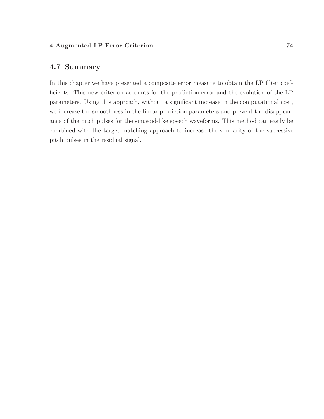## **4.7 Summary**

In this chapter we have presented a composite error measure to obtain the LP filter coefficients. This new criterion accounts for the prediction error and the evolution of the LP parameters. Using this approach, without a significant increase in the computational cost, we increase the smoothness in the linear prediction parameters and prevent the disappearance of the pitch pulses for the sinusoid-like speech waveforms. This method can easily be combined with the target matching approach to increase the similarity of the successive pitch pulses in the residual signal.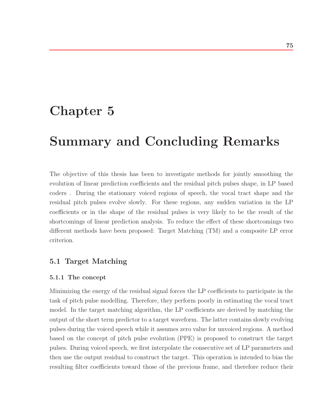# **Chapter 5**

# **Summary and Concluding Remarks**

The objective of this thesis has been to investigate methods for jointly smoothing the evolution of linear prediction coefficients and the residual pitch pulses shape, in LP based coders . During the stationary voiced regions of speech, the vocal tract shape and the residual pitch pulses evolve slowly. For these regions, any sudden variation in the LP coefficients or in the shape of the residual pulses is very likely to be the result of the shortcomings of linear prediction analysis. To reduce the effect of these shortcomings two different methods have been proposed: Target Matching (TM) and a composite LP error criterion.

## **5.1 Target Matching**

#### **5.1.1 The concept**

Minimizing the energy of the residual signal forces the LP coefficients to participate in the task of pitch pulse modelling. Therefore, they perform poorly in estimating the vocal tract model. In the target matching algorithm, the LP coefficients are derived by matching the output of the short term predictor to a target waveform. The latter contains slowly evolving pulses during the voiced speech while it assumes zero value for unvoiced regions. A method based on the concept of pitch pulse evolution (PPE) is proposed to construct the target pulses. During voiced speech, we first interpolate the consecutive set of LP parameters and then use the output residual to construct the target. This operation is intended to bias the resulting filter coefficients toward those of the previous frame, and therefore reduce their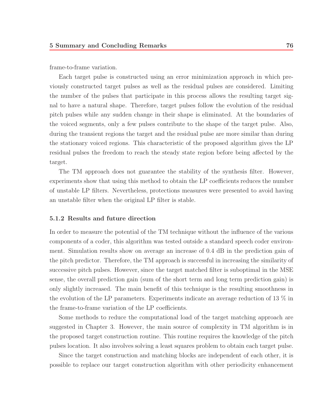frame-to-frame variation.

Each target pulse is constructed using an error minimization approach in which previously constructed target pulses as well as the residual pulses are considered. Limiting the number of the pulses that participate in this process allows the resulting target signal to have a natural shape. Therefore, target pulses follow the evolution of the residual pitch pulses while any sudden change in their shape is eliminated. At the boundaries of the voiced segments, only a few pulses contribute to the shape of the target pulse. Also, during the transient regions the target and the residual pulse are more similar than during the stationary voiced regions. This characteristic of the proposed algorithm gives the LP residual pulses the freedom to reach the steady state region before being affected by the target.

The TM approach does not guarantee the stability of the synthesis filter. However, experiments show that using this method to obtain the LP coefficients reduces the number of unstable LP filters. Nevertheless, protections measures were presented to avoid having an unstable filter when the original LP filter is stable.

#### **5.1.2 Results and future direction**

In order to measure the potential of the TM technique without the influence of the various components of a coder, this algorithm was tested outside a standard speech coder environment. Simulation results show on average an increase of 0.4 dB in the prediction gain of the pitch predictor. Therefore, the TM approach is successful in increasing the similarity of successive pitch pulses. However, since the target matched filter is suboptimal in the MSE sense, the overall prediction gain (sum of the short term and long term prediction gain) is only slightly increased. The main benefit of this technique is the resulting smoothness in the evolution of the LP parameters. Experiments indicate an average reduction of 13 % in the frame-to-frame variation of the LP coefficients.

Some methods to reduce the computational load of the target matching approach are suggested in Chapter 3. However, the main source of complexity in TM algorithm is in the proposed target construction routine. This routine requires the knowledge of the pitch pulses location. It also involves solving a least squares problem to obtain each target pulse.

Since the target construction and matching blocks are independent of each other, it is possible to replace our target construction algorithm with other periodicity enhancement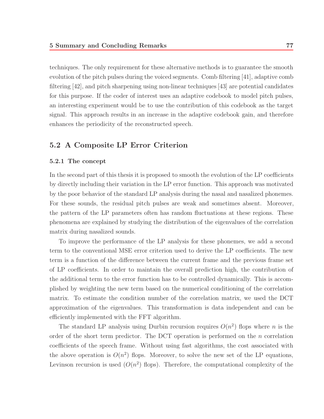techniques. The only requirement for these alternative methods is to guarantee the smooth evolution of the pitch pulses during the voiced segments. Comb filtering [41], adaptive comb filtering [42], and pitch sharpening using non-linear techniques [43] are potential candidates for this purpose. If the coder of interest uses an adaptive codebook to model pitch pulses, an interesting experiment would be to use the contribution of this codebook as the target signal. This approach results in an increase in the adaptive codebook gain, and therefore enhances the periodicity of the reconstructed speech.

## **5.2 A Composite LP Error Criterion**

#### **5.2.1 The concept**

In the second part of this thesis it is proposed to smooth the evolution of the LP coefficients by directly including their variation in the LP error function. This approach was motivated by the poor behavior of the standard LP analysis during the nasal and nasalized phonemes. For these sounds, the residual pitch pulses are weak and sometimes absent. Moreover, the pattern of the LP parameters often has random fluctuations at these regions. These phenomena are explained by studying the distribution of the eigenvalues of the correlation matrix during nasalized sounds.

To improve the performance of the LP analysis for these phonemes, we add a second term to the conventional MSE error criterion used to derive the LP coefficients. The new term is a function of the difference between the current frame and the previous frame set of LP coefficients. In order to maintain the overall prediction high, the contribution of the additional term to the error function has to be controlled dynamically. This is accomplished by weighting the new term based on the numerical conditioning of the correlation matrix. To estimate the condition number of the correlation matrix, we used the DCT approximation of the eigenvalues. This transformation is data independent and can be efficiently implemented with the FFT algorithm.

The standard LP analysis using Durbin recursion requires  $O(n^2)$  flops where n is the order of the short term predictor. The DCT operation is performed on the  $n$  correlation coefficients of the speech frame. Without using fast algorithms, the cost associated with the above operation is  $O(n^2)$  flops. Moreover, to solve the new set of the LP equations, Levinson recursion is used  $(O(n^2)$  flops). Therefore, the computational complexity of the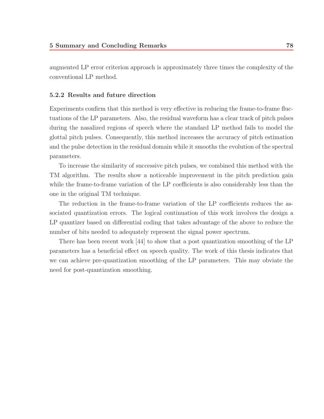augmented LP error criterion approach is approximately three times the complexity of the conventional LP method.

#### **5.2.2 Results and future direction**

Experiments confirm that this method is very effective in reducing the frame-to-frame fluctuations of the LP parameters. Also, the residual waveform has a clear track of pitch pulses during the nasalized regions of speech where the standard LP method fails to model the glottal pitch pulses. Consequently, this method increases the accuracy of pitch estimation and the pulse detection in the residual domain while it smooths the evolution of the spectral parameters.

To increase the similarity of successive pitch pulses, we combined this method with the TM algorithm. The results show a noticeable improvement in the pitch prediction gain while the frame-to-frame variation of the LP coefficients is also considerably less than the one in the original TM technique.

The reduction in the frame-to-frame variation of the LP coefficients reduces the associated quantization errors. The logical continuation of this work involves the design a LP quantizer based on differential coding that takes advantage of the above to reduce the number of bits needed to adequately represent the signal power spectrum.

There has been recent work [44] to show that a post quantization smoothing of the LP parameters has a beneficial effect on speech quality. The work of this thesis indicates that we can achieve pre-quantization smoothing of the LP parameters. This may obviate the need for post-quantization smoothing.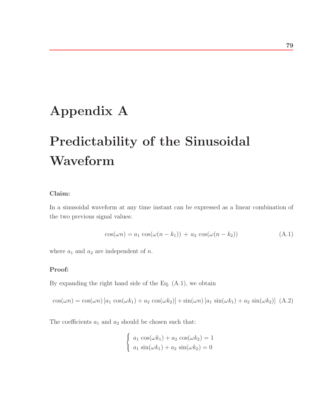# **Appendix A**

# **Predictability of the Sinusoidal Waveform**

## **Claim:**

In a sinusoidal waveform at any time instant can be expressed as a linear combination of the two previous signal values:

$$
\cos(\omega n) = a_1 \cos(\omega(n - k_1)) + a_2 \cos(\omega(n - k_2)) \tag{A.1}
$$

where  $a_1$  and  $a_2$  are independent of n.

#### **Proof:**

By expanding the right hand side of the Eq. (A.1), we obtain

 $\cos(\omega n) = \cos(\omega n) [a_1 \cos(\omega k_1) + a_2 \cos(\omega k_2)] + \sin(\omega n) [a_1 \sin(\omega k_1) + a_2 \sin(\omega k_2)]$  (A.2)

The coefficients  $a_1$  and  $a_2$  should be chosen such that:

$$
\begin{cases}\na_1 \cos(\omega k_1) + a_2 \cos(\omega k_2) = 1 \\
a_1 \sin(\omega k_1) + a_2 \sin(\omega k_2) = 0\n\end{cases}
$$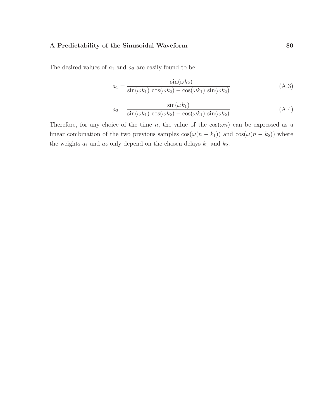The desired values of  $a_1$  and  $a_2$  are easily found to be:

$$
a_1 = \frac{-\sin(\omega k_2)}{\sin(\omega k_1)\cos(\omega k_2) - \cos(\omega k_1)\sin(\omega k_2)}\tag{A.3}
$$

$$
a_2 = \frac{\sin(\omega k_1)}{\sin(\omega k_1)\cos(\omega k_2) - \cos(\omega k_1)\sin(\omega k_2)}\tag{A.4}
$$

Therefore, for any choice of the time n, the value of the  $cos(\omega n)$  can be expressed as a linear combination of the two previous samples  $cos(\omega(n - k_1))$  and  $cos(\omega(n - k_2))$  where the weights  $a_1$  and  $a_2$  only depend on the chosen delays  $k_1$  and  $k_2$ .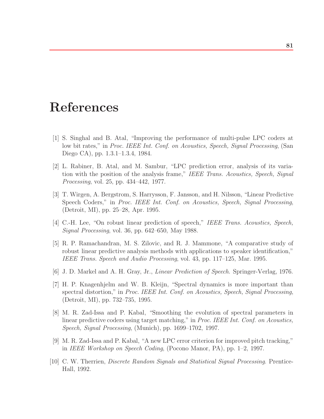## **References**

- [1] S. Singhal and B. Atal, "Improving the performance of multi-pulse LPC coders at low bit rates," in Proc. IEEE Int. Conf. on Acoustics, Speech, Signal Processing, (San Diego CA), pp. 1.3.1–1.3.4, 1984.
- [2] L. Rabiner, B. Atal, and M. Sambur, "LPC prediction error, analysis of its variation with the position of the analysis frame," IEEE Trans. Acoustics, Speech, Signal Processing, vol. 25, pp. 434–442, 1977.
- [3] T. Wirgen, A. Bergstrom, S. Harrysson, F. Jansson, and H. Nilsson, "Linear Predictive Speech Coders," in Proc. IEEE Int. Conf. on Acoustics, Speech, Signal Processing, (Detroit, MI), pp. 25–28, Apr. 1995.
- [4] C.-H. Lee, "On robust linear prediction of speech," IEEE Trans. Acoustics, Speech, Signal Processing, vol. 36, pp. 642–650, May 1988.
- [5] R. P. Ramachandran, M. S. Zilovic, and R. J. Mammone, "A comparative study of robust linear predictive analysis methods with applications to speaker identification," IEEE Trans. Speech and Audio Processing, vol. 43, pp. 117–125, Mar. 1995.
- [6] J. D. Markel and A. H. Gray, Jr., Linear Prediction of Speech. Springer-Verlag, 1976.
- [7] H. P. Knagenhjelm and W. B. Kleijn, "Spectral dynamics is more important than spectral distortion," in Proc. IEEE Int. Conf. on Acoustics, Speech, Signal Processing, (Detroit, MI), pp. 732–735, 1995.
- [8] M. R. Zad-Issa and P. Kabal, "Smoothing the evolution of spectral parameters in linear predictive coders using target matching," in Proc. IEEE Int. Conf. on Acoustics, Speech, Signal Processing, (Munich), pp. 1699–1702, 1997.
- [9] M. R. Zad-Issa and P. Kabal, "A new LPC error criterion for improved pitch tracking," in IEEE Workshop on Speech Coding, (Pocono Manor, PA), pp. 1–2, 1997.
- [10] C. W. Therrien, Discrete Random Signals and Statistical Signal Processing. Prentice-Hall, 1992.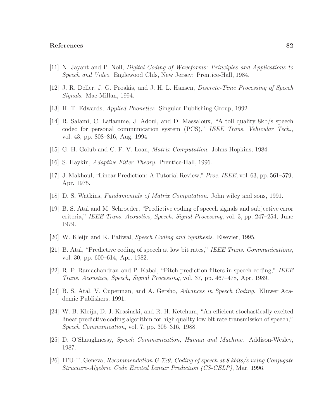- [11] N. Jayant and P. Noll, Digital Coding of Waveforms: Principles and Applications to Speech and Video. Englewood Clifs, New Jersey: Prentice-Hall, 1984.
- [12] J. R. Deller, J. G. Proakis, and J. H. L. Hansen, Discrete-Time Processing of Speech Signals. Mac-Millan, 1994.
- [13] H. T. Edwards, Applied Phonetics. Singular Publishing Group, 1992.
- [14] R. Salami, C. Laflamme, J. Adoul, and D. Massaloux, "A toll quality 8kb/s speech codec for personal communication system (PCS)," IEEE Trans. Vehicular Tech., vol. 43, pp. 808–816, Aug. 1994.
- [15] G. H. Golub and C. F. V. Loan, Matrix Computation. Johns Hopkins, 1984.
- [16] S. Haykin, Adaptive Filter Theory. Prentice-Hall, 1996.
- [17] J. Makhoul, "Linear Prediction: A Tutorial Review," Proc. IEEE, vol. 63, pp. 561–579, Apr. 1975.
- [18] D. S. Watkins, Fundamentals of Matrix Computation. John wiley and sons, 1991.
- [19] B. S. Atal and M. Schroeder, "Predictive coding of speech signals and subjective error criteria," IEEE Trans. Acoustics, Speech, Signal Processing, vol. 3, pp. 247–254, June 1979.
- [20] W. Kleijn and K. Paliwal, Speech Coding and Synthesis. Elsevier, 1995.
- [21] B. Atal, "Predictive coding of speech at low bit rates," IEEE Trans. Communications, vol. 30, pp. 600–614, Apr. 1982.
- [22] R. P. Ramachandran and P. Kabal, "Pitch prediction filters in speech coding," IEEE Trans. Acoustics, Speech, Signal Processing, vol. 37, pp. 467–478, Apr. 1989.
- [23] B. S. Atal, V. Cuperman, and A. Gersho, Advances in Speech Coding. Kluwer Academic Publishers, 1991.
- [24] W. B. Kleijn, D. J. Krasinski, and R. H. Ketchum, "An efficient stochastically excited linear predictive coding algorithm for high quality low bit rate transmission of speech," Speech Communication, vol. 7, pp. 305–316, 1988.
- [25] D. O'Shaughnessy, Speech Communication, Human and Machine. Addison-Wesley, 1987.
- [26] ITU-T, Geneva, Recommendation G.729, Coding of speech at 8 kbits/s using Conjugate Structure-Algebric Code Excited Linear Prediction (CS-CELP), Mar. 1996.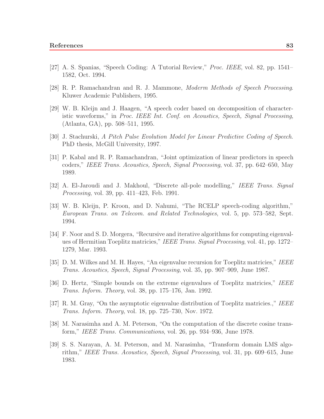- [27] A. S. Spanias, "Speech Coding: A Tutorial Review," Proc. IEEE, vol. 82, pp. 1541– 1582, Oct. 1994.
- [28] R. P. Ramachandran and R. J. Mammone, Moderm Methods of Speech Processing. Kluwer Academic Publishers, 1995.
- [29] W. B. Kleijn and J. Haagen, "A speech coder based on decomposition of characteristic waveforms," in Proc. IEEE Int. Conf. on Acoustics, Speech, Signal Processing, (Atlanta, GA), pp. 508–511, 1995.
- [30] J. Stachurski, A Pitch Pulse Evolution Model for Linear Predictive Coding of Speech. PhD thesis, McGill University, 1997.
- [31] P. Kabal and R. P. Ramachandran, "Joint optimization of linear predictors in speech coders," IEEE Trans. Acoustics, Speech, Signal Processing, vol. 37, pp. 642–650, May 1989.
- [32] A. El-Jaroudi and J. Makhoul, "Discrete all-pole modelling," IEEE Trans. Signal Processing, vol. 39, pp. 411–423, Feb. 1991.
- [33] W. B. Kleijn, P. Kroon, and D. Nahumi, "The RCELP speech-coding algorithm," European Trans. on Telecom. and Related Technologies, vol. 5, pp. 573–582, Sept. 1994.
- [34] F. Noor and S. D. Morgera, "Recursive and iterative algorithms for computing eigenvalues of Hermitian Toeplitz matricies," IEEE Trans. Signal Processing, vol. 41, pp. 1272– 1279, Mar. 1993.
- [35] D. M. Wilkes and M. H. Hayes, "An eigenvalue recursion for Toeplitz matricies," IEEE Trans. Acoustics, Speech, Signal Processing, vol. 35, pp. 907–909, June 1987.
- [36] D. Hertz, "Simple bounds on the extreme eigenvalues of Toeplitz matricies," IEEE Trans. Inform. Theory, vol. 38, pp. 175–176, Jan. 1992.
- [37] R. M. Gray, "On the asymptotic eigenvalue distribution of Toeplitz matricies.," IEEE Trans. Inform. Theory, vol. 18, pp. 725–730, Nov. 1972.
- [38] M. Narasimha and A. M. Peterson, "On the computation of the discrete cosine transform," IEEE Trans. Communications, vol. 26, pp. 934–936, June 1978.
- [39] S. S. Narayan, A. M. Peterson, and M. Narasimha, "Transform domain LMS algorithm," IEEE Trans. Acoustics, Speech, Signal Processing, vol. 31, pp. 609–615, June 1983.